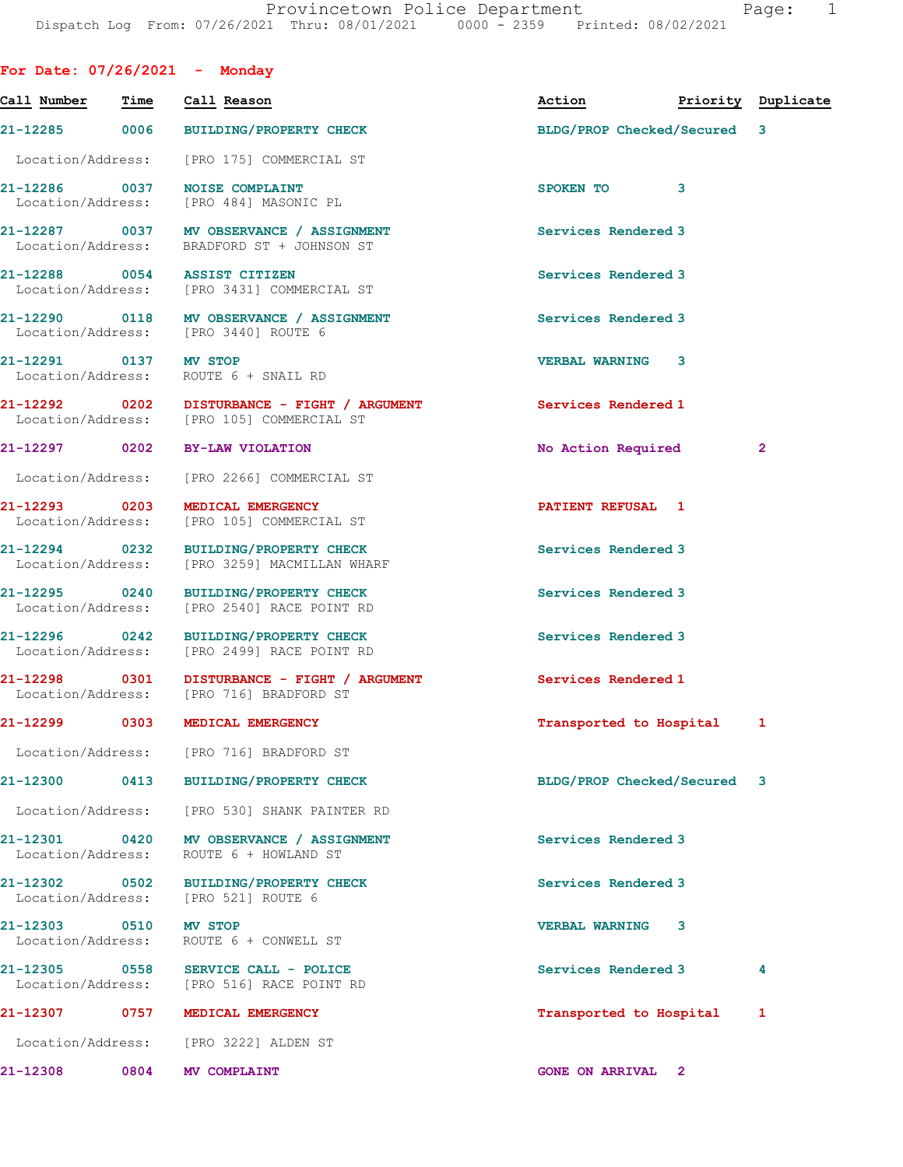For Date: 07/26/2021 - Monday

Call Number Time Call Reason Action Priority Duplicate 21-12285 0006 BUILDING/PROPERTY CHECK BLDG/PROP Checked/Secured 3 Location/Address: [PRO 175] COMMERCIAL ST 21-12286 0037 NOISE COMPLAINT SPOKEN TO 3 Location/Address: [PRO 484] MASONIC PL 21-12287 0037 MV OBSERVANCE / ASSIGNMENT Services Rendered 3 Location/Address: BRADFORD ST + JOHNSON ST 21-12288 0054 ASSIST CITIZEN Services Rendered 3 Location/Address: [PRO 3431] COMMERCIAL ST 21-12290 0118 MV OBSERVANCE / ASSIGNMENT Services Rendered 3 Location/Address: [PRO 3440] ROUTE 6 21-12291 0137 MV STOP VERBAL WARNING 3 Location/Address: ROUTE 6 + SNAIL RD 21-12292 0202 DISTURBANCE - FIGHT / ARGUMENT Services Rendered 1 Location/Address: [PRO 105] COMMERCIAL ST [PRO 105] COMMERCIAL ST 21-12297 0202 BY-LAW VIOLATION No Action Required 2 Location/Address: [PRO 2266] COMMERCIAL ST 21-12293 0203 MEDICAL EMERGENCY **12000 PATIENT REFUSAL** 1 Location/Address: [PRO 105] COMMERCIAL ST 21-12294 0232 BUILDING/PROPERTY CHECK Services Rendered 3 Location/Address: [PRO 3259] MACMILLAN WHARF 21-12295 0240 BUILDING/PROPERTY CHECK Services Rendered 3 Location/Address: [PRO 2540] RACE POINT RD 21-12296 0242 BUILDING/PROPERTY CHECK Services Rendered 3 Location/Address: [PRO 2499] RACE POINT RD 21-12298 0301 DISTURBANCE - FIGHT / ARGUMENT Services Rendered 1 Location/Address: [PRO 716] BRADFORD ST 21-12299 0303 MEDICAL EMERGENCY Transported to Hospital 1 Location/Address: [PRO 716] BRADFORD ST 21-12300 0413 BUILDING/PROPERTY CHECK BLDG/PROP Checked/Secured 3 Location/Address: [PRO 530] SHANK PAINTER RD 21-12301 0420 MV OBSERVANCE / ASSIGNMENT Services Rendered 3 Location/Address: ROUTE 6 + HOWLAND ST 21-12302 0502 BUILDING/PROPERTY CHECK Services Rendered 3 Location/Address: [PRO 521] ROUTE 6 21-12303 0510 MV STOP (21-12303 0510 MV STOP VERBAL WARNING 3 ROUTE 6 + CONWELL ST 21-12305 0558 SERVICE CALL - POLICE Services Rendered 3 4 [PRO 516] RACE POINT RD 21-12307 0757 MEDICAL EMERGENCY **1200 1200 1200 1200 121-12307** 12307 12307 12307 Location/Address: [PRO 3222] ALDEN ST 21-12308 0804 MV COMPLAINT GONE ON ARRIVAL 2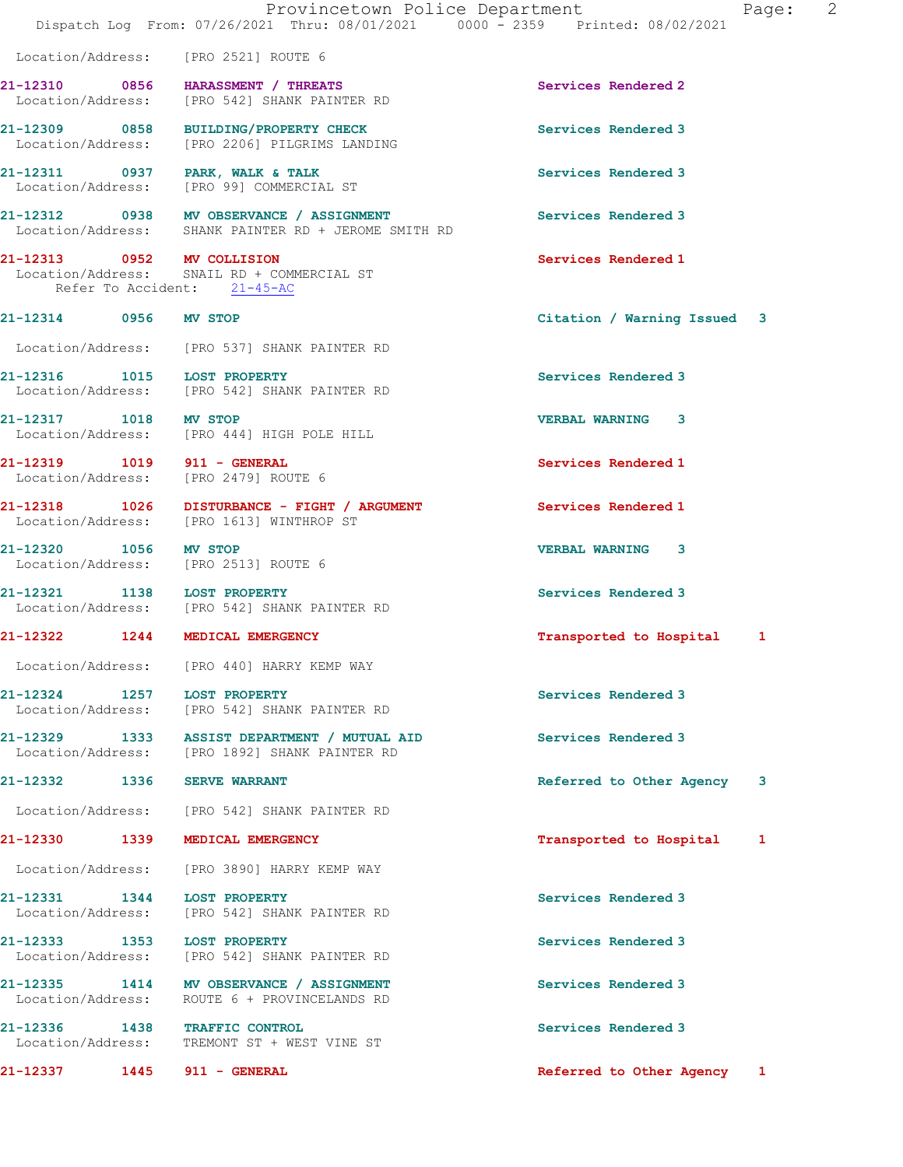|                             | Provincetown Police Department<br>Dispatch Log From: 07/26/2021 Thru: 08/01/2021 0000 - 2359 Printed: 08/02/2021 |                             | Page: 2 |  |
|-----------------------------|------------------------------------------------------------------------------------------------------------------|-----------------------------|---------|--|
|                             | Location/Address: [PRO 2521] ROUTE 6                                                                             |                             |         |  |
|                             | 21-12310 0856 HARASSMENT / THREATS<br>Location/Address: [PRO 542] SHANK PAINTER RD                               | Services Rendered 2         |         |  |
|                             | 21-12309 0858 BUILDING/PROPERTY CHECK<br>Location/Address: [PRO 2206] PILGRIMS LANDING                           | Services Rendered 3         |         |  |
|                             | 21-12311 0937 PARK, WALK & TALK<br>Location/Address: [PRO 99] COMMERCIAL ST                                      | Services Rendered 3         |         |  |
|                             | 21-12312 0938 MV OBSERVANCE / ASSIGNMENT<br>Location/Address: SHANK PAINTER RD + JEROME SMITH RD                 | Services Rendered 3         |         |  |
| 21-12313 0952 MV COLLISION  | Location/Address: SNAIL RD + COMMERCIAL ST<br>Refer To Accident: 21-45-AC                                        | Services Rendered 1         |         |  |
| 21-12314 0956 MV STOP       |                                                                                                                  | Citation / Warning Issued 3 |         |  |
|                             | Location/Address: [PRO 537] SHANK PAINTER RD                                                                     |                             |         |  |
|                             | 21-12316 1015 LOST PROPERTY<br>Location/Address: [PRO 542] SHANK PAINTER RD                                      | Services Rendered 3         |         |  |
| 21-12317 1018 MV STOP       | Location/Address: [PRO 444] HIGH POLE HILL                                                                       | <b>VERBAL WARNING 3</b>     |         |  |
|                             | 21-12319    1019    911 - GENERAL<br>Location/Address: [PRO 2479] ROUTE 6                                        | Services Rendered 1         |         |  |
|                             | 21-12318 1026 DISTURBANCE - FIGHT / ARGUMENT<br>Location/Address: [PRO 1613] WINTHROP ST                         | Services Rendered 1         |         |  |
|                             | 21-12320 1056 MV STOP<br>Location/Address: [PRO 2513] ROUTE 6                                                    | <b>VERBAL WARNING 3</b>     |         |  |
| 21-12321 1138 LOST PROPERTY | Location/Address: [PRO 542] SHANK PAINTER RD                                                                     | Services Rendered 3         |         |  |
|                             | 21-12322 1244 MEDICAL EMERGENCY                                                                                  | Transported to Hospital 1   |         |  |
|                             | Location/Address: [PRO 440] HARRY KEMP WAY                                                                       |                             |         |  |
| 21-12324 1257 LOST PROPERTY | Location/Address: [PRO 542] SHANK PAINTER RD                                                                     | Services Rendered 3         |         |  |
|                             | 21-12329 1333 ASSIST DEPARTMENT / MUTUAL AID<br>Location/Address: [PRO 1892] SHANK PAINTER RD                    | Services Rendered 3         |         |  |
| 21-12332 1336 SERVE WARRANT |                                                                                                                  | Referred to Other Agency    | 3       |  |
|                             | Location/Address: [PRO 542] SHANK PAINTER RD                                                                     |                             |         |  |
|                             | 21-12330 1339 MEDICAL EMERGENCY                                                                                  | Transported to Hospital     | 1       |  |
|                             | Location/Address: [PRO 3890] HARRY KEMP WAY                                                                      |                             |         |  |
| 21-12331 1344 LOST PROPERTY | Location/Address: [PRO 542] SHANK PAINTER RD                                                                     | Services Rendered 3         |         |  |
| 21-12333 1353 LOST PROPERTY | Location/Address: [PRO 542] SHANK PAINTER RD                                                                     | Services Rendered 3         |         |  |
|                             | 21-12335 1414 MV OBSERVANCE / ASSIGNMENT<br>Location/Address: ROUTE 6 + PROVINCELANDS RD                         | Services Rendered 3         |         |  |
|                             | 21-12336 1438 TRAFFIC CONTROL<br>Location/Address: TREMONT ST + WEST VINE ST                                     | Services Rendered 3         |         |  |
| 21-12337 1445 911 - GENERAL |                                                                                                                  | Referred to Other Agency 1  |         |  |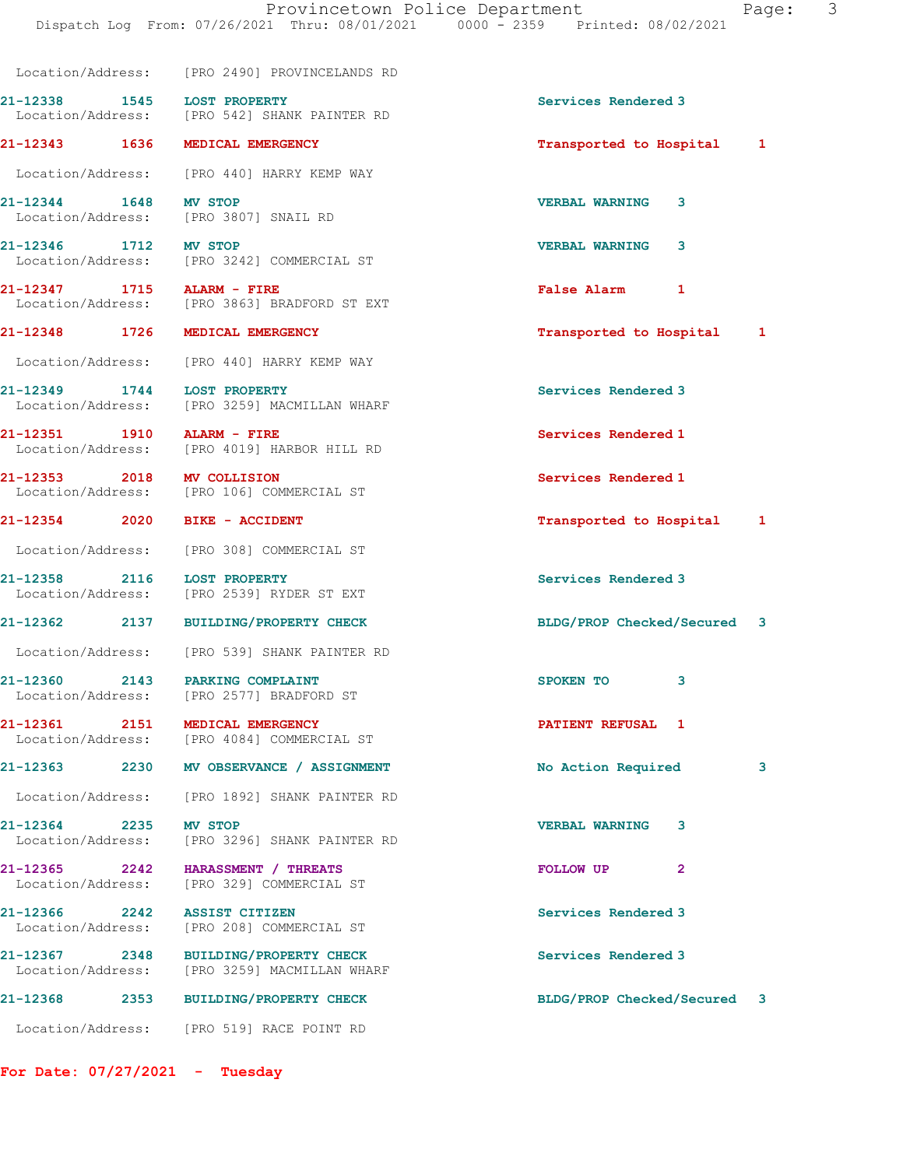Location/Address: [PRO 2490] PROVINCELANDS RD 21-12338 1545 LOST PROPERTY Services Rendered 3 Location/Address: [PRO 542] SHANK PAINTER RD 21-12343 1636 MEDICAL EMERGENCY Transported to Hospital 1 Location/Address: [PRO 440] HARRY KEMP WAY 21-12344 1648 MV STOP 1648 VERBAL WARNING 3<br>
Location/Address: [PRO 3807] SNAIL RD [PRO 3807] SNAIL RD 21-12346 1712 MV STOP VERBAL WARNING 3 Location/Address: [PRO 3242] COMMERCIAL ST 21-12347 1715 ALARM - FIRE **False Alarm** 1 Location/Address: [PRO 3863] BRADFORD ST EXT 21-12348 1726 MEDICAL EMERGENCY Transported to Hospital 1 Location/Address: [PRO 440] HARRY KEMP WAY 21-12349 1744 LOST PROPERTY Services Rendered 3 Location/Address: [PRO 3259] MACMILLAN WHARF 21-12351 1910 ALARM - FIRE Services Rendered 1 Seculon/Address: [PRO 4019] HARBOR HILL RD [PRO 4019] HARBOR HILL RD 21-12353 2018 MV COLLISION Services Rendered 1 Location/Address: [PRO 106] COMMERCIAL ST 21-12354 2020 BIKE - ACCIDENT Transported to Hospital 1 Location/Address: [PRO 308] COMMERCIAL ST 21-12358 2116 LOST PROPERTY Services Rendered 3 Location/Address: [PRO 2539] RYDER ST EXT 21-12362 2137 BUILDING/PROPERTY CHECK BLDG/PROP Checked/Secured 3 Location/Address: [PRO 539] SHANK PAINTER RD 21-12360 2143 PARKING COMPLAINT SPOKEN TO 3 Location/Address: [PRO 2577] BRADFORD ST 21-12361 2151 MEDICAL EMERGENCY **PATIENT REFUSAL** 1 Location/Address: [PRO 4084] COMMERCIAL ST 21-12363 2230 MV OBSERVANCE / ASSIGNMENT No Action Required 3 Location/Address: [PRO 1892] SHANK PAINTER RD 21-12364 2235 MV STOP<br>
Location/Address: [PRO 3296] SHANK PAINTER RD<br>
VERBAL WARNING 3 [PRO 3296] SHANK PAINTER RD 21-12365 2242 HARASSMENT / THREATS FOLLOW UP 2 Location/Address: [PRO 329] COMMERCIAL ST 21-12366 2242 ASSIST CITIZEN Services Rendered 3 Location/Address: [PRO 208] COMMERCIAL ST 21-12367 2348 BUILDING/PROPERTY CHECK Services Rendered 3 Location/Address: [PRO 3259] MACMILLAN WHARF 21-12368 2353 BUILDING/PROPERTY CHECK BLDG/PROP Checked/Secured 3 Location/Address: [PRO 519] RACE POINT RD

For Date: 07/27/2021 - Tuesday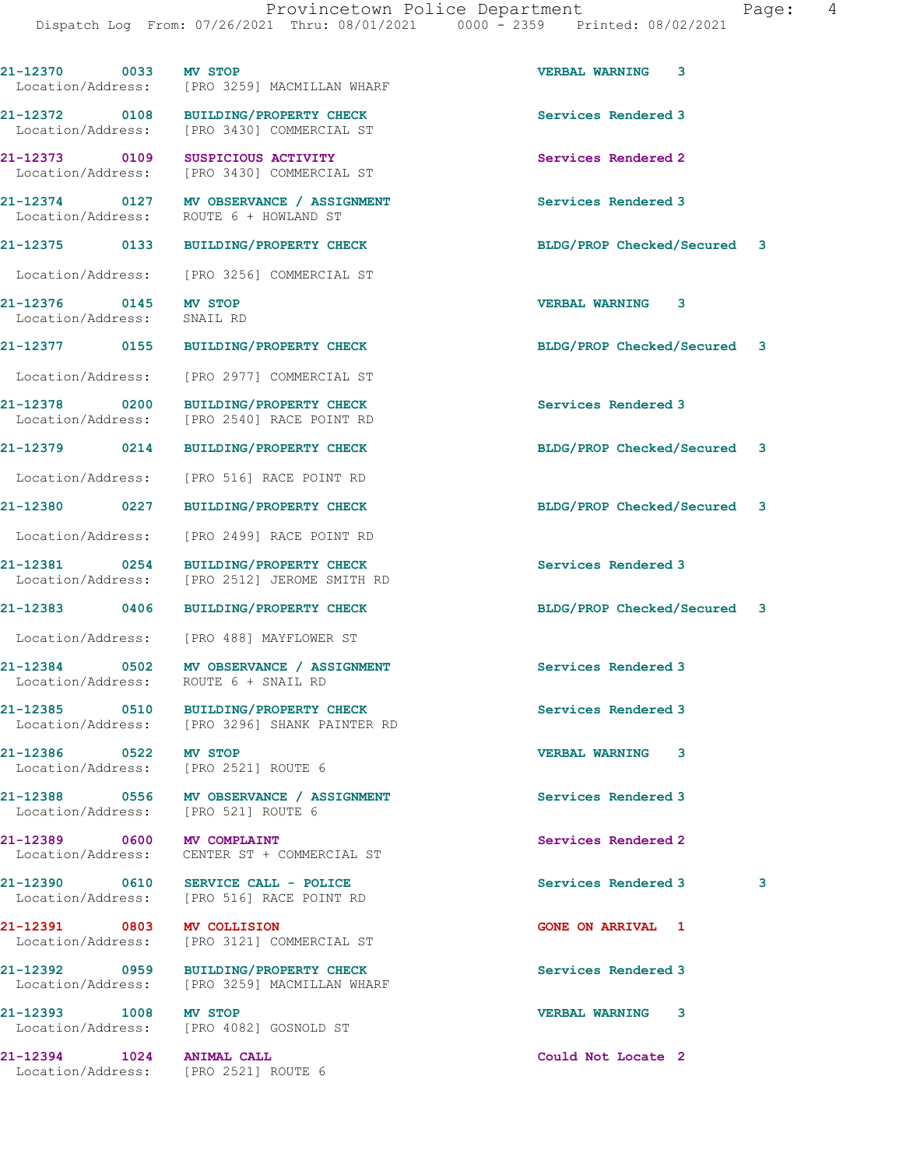| 21-12370 0033                      | <b>MV STOP</b><br>Location/Address: [PRO 3259] MACMILLAN WHARF                         | <b>VERBAL WARNING 3</b>     |  |
|------------------------------------|----------------------------------------------------------------------------------------|-----------------------------|--|
|                                    | 21-12372 0108 BUILDING/PROPERTY CHECK<br>Location/Address: [PRO 3430] COMMERCIAL ST    | Services Rendered 3         |  |
| 21-12373 0109                      | SUSPICIOUS ACTIVITY<br>Location/Address: [PRO 3430] COMMERCIAL ST                      | Services Rendered 2         |  |
|                                    | 21-12374 0127 MV OBSERVANCE / ASSIGNMENT<br>Location/Address: ROUTE 6 + HOWLAND ST     | Services Rendered 3         |  |
|                                    | 21-12375 0133 BUILDING/PROPERTY CHECK                                                  | BLDG/PROP Checked/Secured 3 |  |
|                                    | Location/Address: [PRO 3256] COMMERCIAL ST                                             |                             |  |
| 21-12376 0145<br>Location/Address: | <b>MV STOP</b><br>SNAIL RD                                                             | VERBAL WARNING 3            |  |
|                                    | 21-12377 0155 BUILDING/PROPERTY CHECK                                                  | BLDG/PROP Checked/Secured 3 |  |
| Location/Address:                  | [PRO 2977] COMMERCIAL ST                                                               |                             |  |
| 21-12378 0200<br>Location/Address: | BUILDING/PROPERTY CHECK<br>[PRO 2540] RACE POINT RD                                    | Services Rendered 3         |  |
| 21-12379 0214                      | <b>BUILDING/PROPERTY CHECK</b>                                                         | BLDG/PROP Checked/Secured 3 |  |
| Location/Address:                  | [PRO 516] RACE POINT RD                                                                |                             |  |
| 21-12380 0227                      | <b>BUILDING/PROPERTY CHECK</b>                                                         | BLDG/PROP Checked/Secured 3 |  |
| Location/Address:                  | [PRO 2499] RACE POINT RD                                                               |                             |  |
| 21-12381 0254<br>Location/Address: | BUILDING/PROPERTY CHECK<br>[PRO 2512] JEROME SMITH RD                                  | Services Rendered 3         |  |
| 21-12383 0406                      | BUILDING/PROPERTY CHECK                                                                | BLDG/PROP Checked/Secured 3 |  |
|                                    | Location/Address: [PRO 488] MAYFLOWER ST                                               |                             |  |
|                                    | 21-12384 0502 MV OBSERVANCE / ASSIGNMENT<br>Location/Address: ROUTE 6 + SNAIL RD       | Services Rendered 3         |  |
|                                    | 21-12385 0510 BUILDING/PROPERTY CHECK<br>Location/Address: [PRO 3296] SHANK PAINTER RD | Services Rendered 3         |  |
| 21-12386 0522                      | <b>MV STOP</b><br>Location/Address: [PRO 2521] ROUTE 6                                 | <b>VERBAL WARNING</b><br>3  |  |
|                                    | 21-12388 0556 MV OBSERVANCE / ASSIGNMENT<br>Location/Address: [PRO 521] ROUTE 6        | Services Rendered 3         |  |
| 21-12389 0600                      | <b>MV COMPLAINT</b><br>Location/Address: CENTER ST + COMMERCIAL ST                     | Services Rendered 2         |  |
|                                    | 21-12390 0610 SERVICE CALL - POLICE<br>Location/Address: [PRO 516] RACE POINT RD       | 3<br>Services Rendered 3    |  |
| 21-12391 0803 MV COLLISION         | Location/Address: [PRO 3121] COMMERCIAL ST                                             | <b>GONE ON ARRIVAL 1</b>    |  |
|                                    | 21-12392 0959 BUILDING/PROPERTY CHECK<br>Location/Address: [PRO 3259] MACMILLAN WHARF  | Services Rendered 3         |  |
| 21-12393 1008 MV STOP              | Location/Address: [PRO 4082] GOSNOLD ST                                                | <b>VERBAL WARNING</b><br>3  |  |
| 21-12394 1024 ANIMAL CALL          | Location/Address: [PRO 2521] ROUTE 6                                                   | Could Not Locate 2          |  |
|                                    |                                                                                        |                             |  |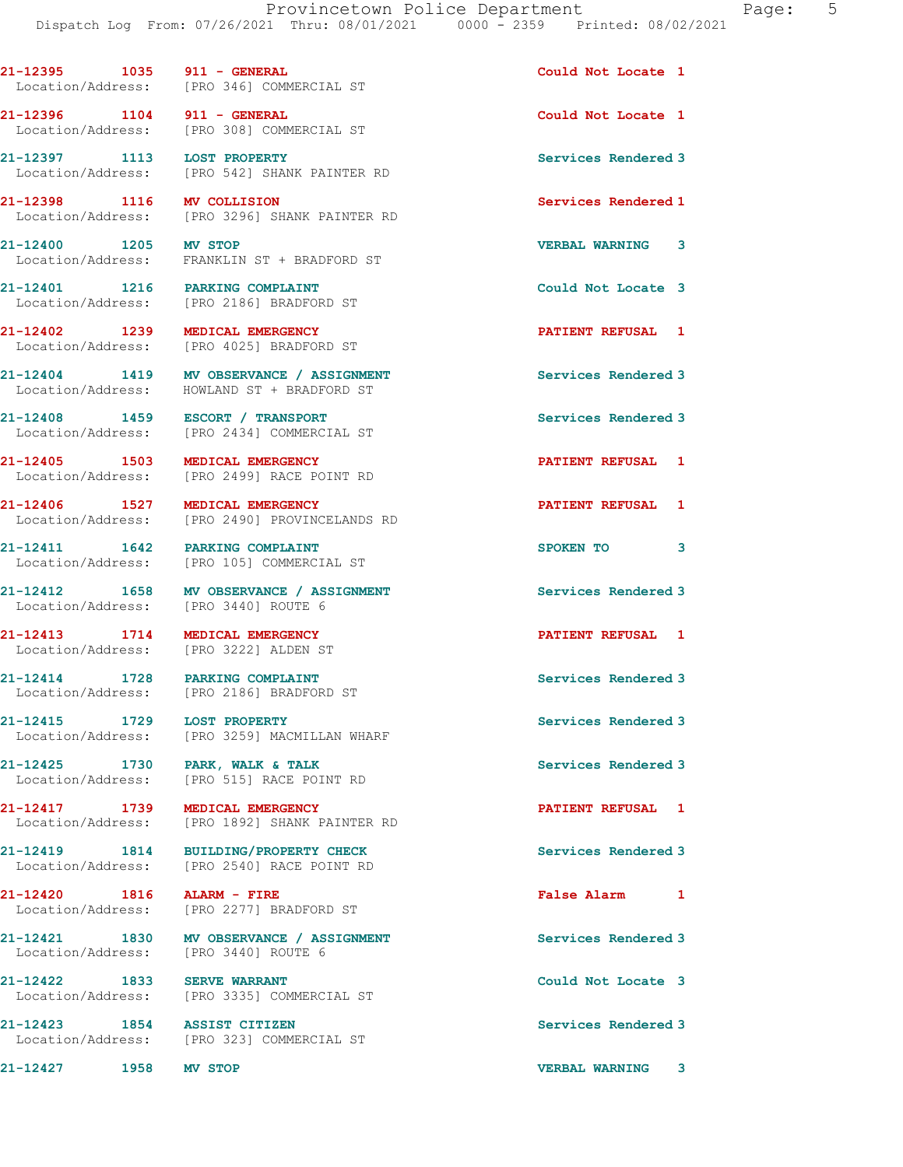21-12397 1113 LOST PROPERTY Services Rendered 3 Location/Address: [PRO 542] SHANK PAINTER RD 21-12398 1116 MV COLLISION Services Rendered 1 [PRO 3296] SHANK PAINTER RD 21-12400 1205 MV STOP VERBAL WARNING 3 Location/Address: FRANKLIN ST + BRADFORD ST 21-12401 1216 PARKING COMPLAINT COULD Could Not Locate 3 Location/Address: [PRO 2186] BRADFORD ST 21-12402 1239 MEDICAL EMERGENCY **1238 FATIENT REFUSAL** 1 Location/Address: [PRO 4025] BRADFORD ST 21-12404 1419 MV OBSERVANCE / ASSIGNMENT Services Rendered 3 Location/Address: HOWLAND ST + BRADFORD ST 21-12408 1459 ESCORT / TRANSPORT Services Rendered 3 [PRO 2434] COMMERCIAL ST 21-12405 1503 MEDICAL EMERGENCY **1201 12405 1251** 12405 1 Location/Address: [PRO 2499] RACE POINT RD 21-12406 1527 MEDICAL EMERGENCY PATIENT REFUSAL 1 Location/Address: [PRO 2490] PROVINCELANDS RD 21-12411 1642 PARKING COMPLAINT SPOKEN TO 3 Location/Address: [PRO 105] COMMERCIAL ST 21-12412 1658 MV OBSERVANCE / ASSIGNMENT Services Rendered 3 Location/Address: [PRO 3440] ROUTE 6 21-12413 1714 MEDICAL EMERGENCY **121-12413** PATIENT REFUSAL 1 Location/Address: [PRO 3222] ALDEN ST 21-12414 1728 PARKING COMPLAINT Services Rendered 3 Location/Address: [PRO 2186] BRADFORD ST 21-12415 1729 LOST PROPERTY<br>
Location/Address: [PRO 3259] MACMILLAN WHARF [PRO 3259] MACMILLAN WHARF 21-12425 1730 PARK, WALK & TALK Services Rendered 3 Location/Address: [PRO 515] RACE POINT RD 21-12417 1739 MEDICAL EMERGENCY PATIENT REFUSAL 1 [PRO 1892] SHANK PAINTER RD 21-12419 1814 BUILDING/PROPERTY CHECK Services Rendered 3 Location/Address: [PRO 2540] RACE POINT RD 21-12420 1816 ALARM - FIRE False Alarm 1 Location/Address: [PRO 2277] BRADFORD ST 21-12421 1830 MV OBSERVANCE / ASSIGNMENT Services Rendered 3 Location/Address: [PRO 3440] ROUTE 6 21-12422 1833 SERVE WARRANT Could Not Locate 3 Location/Address: [PRO 3335] COMMERCIAL ST 21-12423 1854 ASSIST CITIZEN Services Rendered 3 Location/Address: [PRO 323] COMMERCIAL ST 21-12427 1958 MV STOP VERBAL WARNING 3

21-12395 1035 911 - GENERAL Could Not Locate 1 Location/Address: [PRO 346] COMMERCIAL ST

21-12396 1104 911 - GENERAL Could Not Locate 1 Location/Address: [PRO 308] COMMERCIAL ST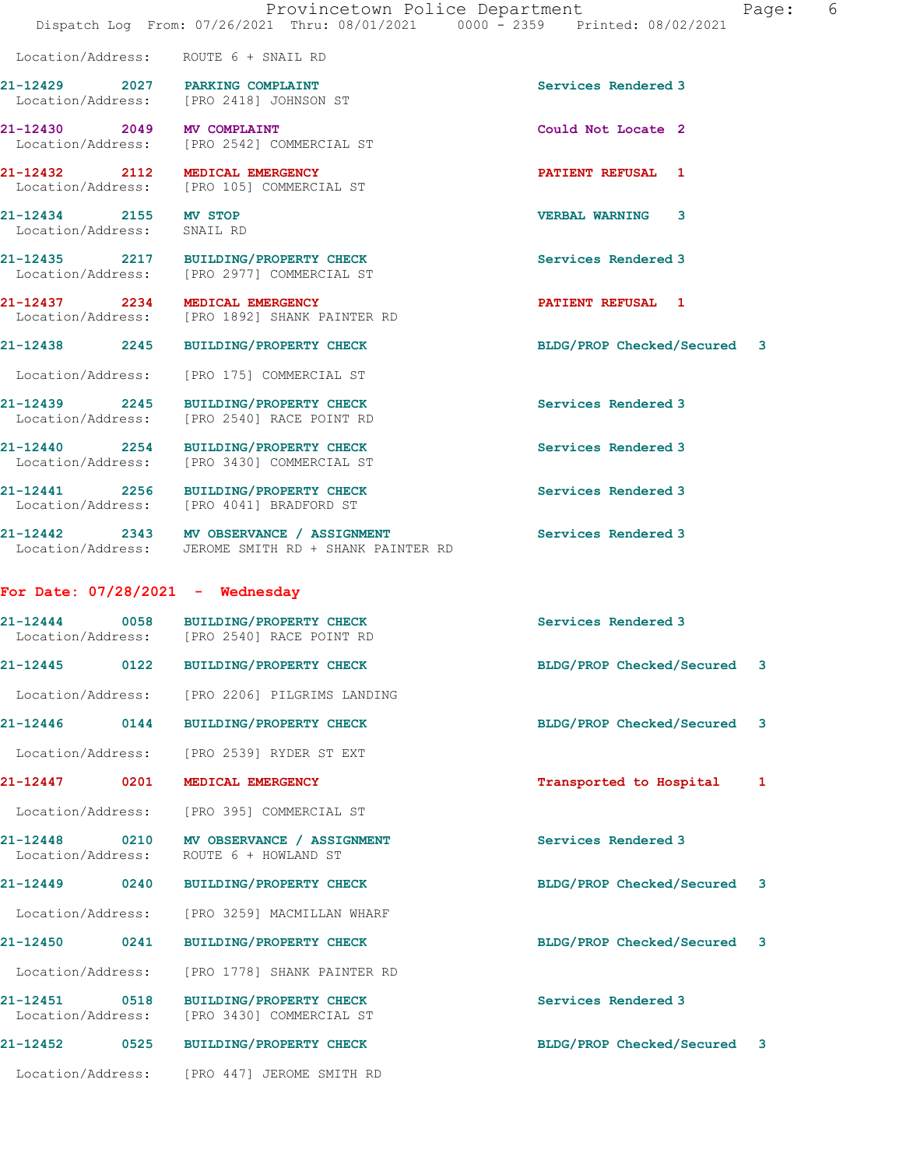|                                                     | Provincetown Police Department<br>Dispatch Log From: 07/26/2021 Thru: 08/01/2021 0000 - 2359 Printed: 08/02/2021 |                             | 6<br>Page: |
|-----------------------------------------------------|------------------------------------------------------------------------------------------------------------------|-----------------------------|------------|
|                                                     | Location/Address: ROUTE 6 + SNAIL RD                                                                             |                             |            |
| 21-12429 2027 PARKING COMPLAINT                     | Location/Address: [PRO 2418] JOHNSON ST                                                                          | Services Rendered 3         |            |
| 21-12430 2049 MV COMPLAINT                          | Location/Address: [PRO 2542] COMMERCIAL ST                                                                       | Could Not Locate 2          |            |
| 21-12432 2112 MEDICAL EMERGENCY                     | Location/Address: [PRO 105] COMMERCIAL ST                                                                        | PATIENT REFUSAL 1           |            |
| 21-12434 2155 MV STOP<br>Location/Address: SNAIL RD |                                                                                                                  | <b>VERBAL WARNING 3</b>     |            |
|                                                     | 21-12435 2217 BUILDING/PROPERTY CHECK<br>Location/Address: [PRO 2977] COMMERCIAL ST                              | Services Rendered 3         |            |
|                                                     | 21-12437 2234 MEDICAL EMERGENCY<br>Location/Address: [PRO 1892] SHANK PAINTER RD                                 | <b>PATIENT REFUSAL 1</b>    |            |
|                                                     | 21-12438 2245 BUILDING/PROPERTY CHECK                                                                            | BLDG/PROP Checked/Secured 3 |            |
|                                                     | Location/Address: [PRO 175] COMMERCIAL ST                                                                        |                             |            |
|                                                     | 21-12439 2245 BUILDING/PROPERTY CHECK<br>Location/Address: [PRO 2540] RACE POINT RD                              | Services Rendered 3         |            |
|                                                     | 21-12440 2254 BUILDING/PROPERTY CHECK<br>Location/Address: [PRO 3430] COMMERCIAL ST                              | Services Rendered 3         |            |
|                                                     | 21-12441 2256 BUILDING/PROPERTY CHECK<br>Location/Address: [PRO 4041] BRADFORD ST                                | Services Rendered 3         |            |
|                                                     | 21-12442 2343 MV OBSERVANCE / ASSIGNMENT<br>Location/Address: JEROME SMITH RD + SHANK PAINTER RD                 | Services Rendered 3         |            |
| For Date: $07/28/2021$ - Wednesday                  |                                                                                                                  |                             |            |
|                                                     | 21-12444 0058 BUILDING/PROPERTY CHECK<br>Location/Address: [PRO 2540] RACE POINT RD                              | Services Rendered 3         |            |
| 0122<br>21-12445                                    | <b>BUILDING/PROPERTY CHECK</b>                                                                                   | BLDG/PROP Checked/Secured 3 |            |
|                                                     | Location/Address: [PRO 2206] PILGRIMS LANDING                                                                    |                             |            |
|                                                     | 21-12446 0144 BUILDING/PROPERTY CHECK                                                                            | BLDG/PROP Checked/Secured 3 |            |
|                                                     | Location/Address: [PRO 2539] RYDER ST EXT                                                                        |                             |            |
| 21-12447 0201 MEDICAL EMERGENCY                     |                                                                                                                  | Transported to Hospital     | 1          |
|                                                     | Location/Address: [PRO 395] COMMERCIAL ST                                                                        |                             |            |
| 21-12448<br>Location/Address:                       | 0210 MV OBSERVANCE / ASSIGNMENT<br>ROUTE 6 + HOWLAND ST                                                          | Services Rendered 3         |            |
|                                                     | 21-12449 0240 BUILDING/PROPERTY CHECK                                                                            | BLDG/PROP Checked/Secured 3 |            |
|                                                     | Location/Address: [PRO 3259] MACMILLAN WHARF                                                                     |                             |            |
| 21-12450 0241                                       | <b>BUILDING/PROPERTY CHECK</b>                                                                                   | BLDG/PROP Checked/Secured 3 |            |
| Location/Address:                                   | [PRO 1778] SHANK PAINTER RD                                                                                      |                             |            |
| 21-12451 0518<br>Location/Address:                  | <b>BUILDING/PROPERTY CHECK</b><br>[PRO 3430] COMMERCIAL ST                                                       | Services Rendered 3         |            |
| 21-12452 0525                                       | <b>BUILDING/PROPERTY CHECK</b>                                                                                   | BLDG/PROP Checked/Secured 3 |            |
|                                                     | Location/Address: [PRO 447] JEROME SMITH RD                                                                      |                             |            |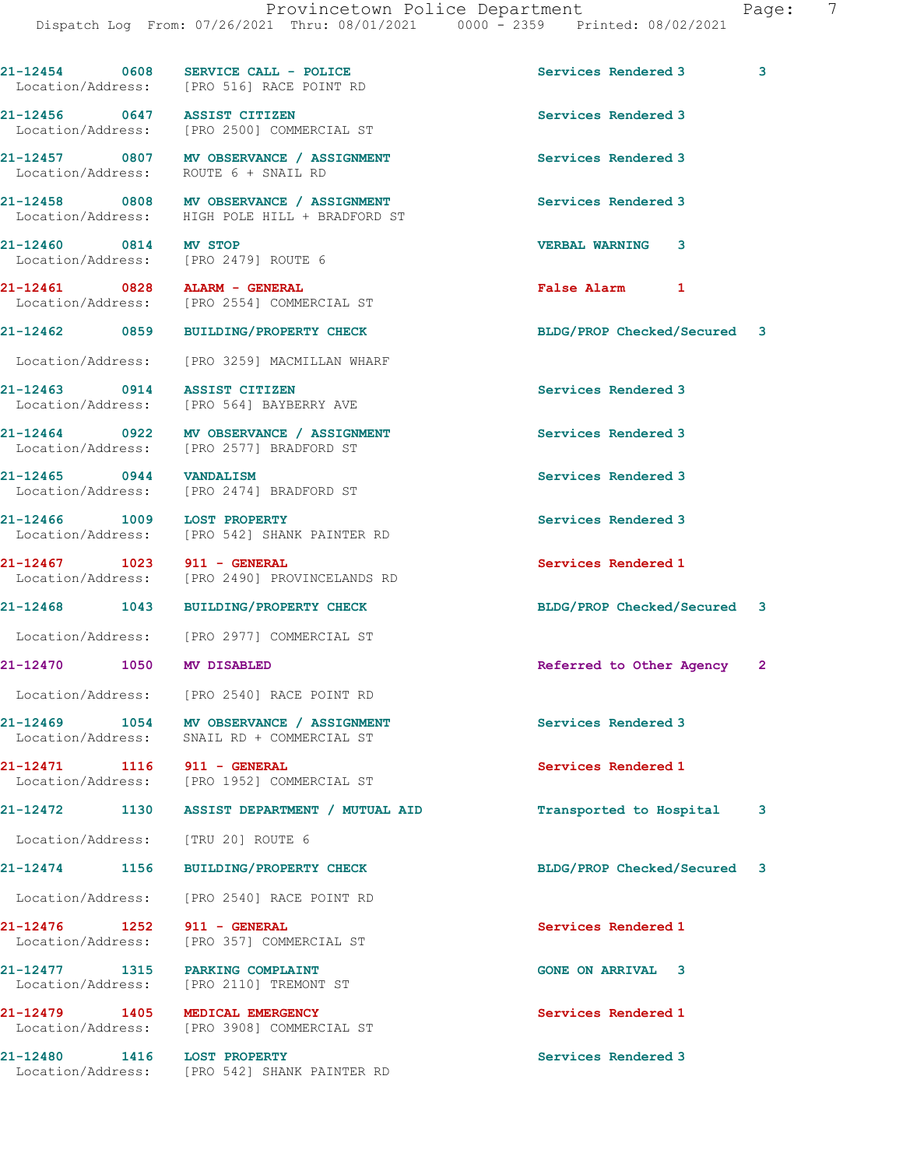21-12454 0608 SERVICE CALL - POLICE 3 Services Rendered 3

Location/Address: [PRO 516] RACE POINT RD

21-12456 0647 ASSIST CITIZEN Services Rendered 3 Location/Address: [PRO 2500] COMMERCIAL ST 21-12457 0807 MV OBSERVANCE / ASSIGNMENT Services Rendered 3 Location/Address: ROUTE 6 + SNAIL RD 21-12458 0808 MV OBSERVANCE / ASSIGNMENT Services Rendered 3 Location/Address: HIGH POLE HILL + BRADFORD ST 21-12460 0814 MV STOP VERBAL WARNING 3 Location/Address: [PRO 2479] ROUTE 6 21-12461 0828 ALARM - GENERAL **False Alarm** 1 Location/Address: [PRO 2554] COMMERCIAL ST 21-12462 0859 BUILDING/PROPERTY CHECK BLDG/PROP Checked/Secured 3 Location/Address: [PRO 3259] MACMILLAN WHARF 21-12463 0914 ASSIST CITIZEN Services Rendered 3 Location/Address: [PRO 564] BAYBERRY AVE 21-12464 0922 MV OBSERVANCE / ASSIGNMENT Services Rendered 3 Location/Address: [PRO 2577] BRADFORD ST 21-12465 0944 VANDALISM Services Rendered 3 Location/Address: [PRO 2474] BRADFORD ST 21-12466 1009 LOST PROPERTY Services Rendered 3 Location/Address: [PRO 542] SHANK PAINTER RD 21-12467 1023 911 - GENERAL Services Rendered 1 Location/Address: [PRO 2490] PROVINCELANDS RD 21-12468 1043 BUILDING/PROPERTY CHECK BLDG/PROP Checked/Secured 3 Location/Address: [PRO 2977] COMMERCIAL ST 21-12470 1050 MV DISABLED Referred to Other Agency Location/Address: [PRO 2540] RACE POINT RD 21-12469 1054 MV OBSERVANCE / ASSIGNMENT Services Rendered 3 Location/Address: SNAIL RD + COMMERCIAL ST 21-12471 1116 911 - GENERAL Services Rendered 1 Location/Address: [PRO 1952] COMMERCIAL ST 21-12472 1130 ASSIST DEPARTMENT / MUTUAL AID Transported to Hospital 3 Location/Address: [TRU 20] ROUTE 6 21-12474 1156 BUILDING/PROPERTY CHECK BLDG/PROP Checked/Secured 3 Location/Address: [PRO 2540] RACE POINT RD 21-12476 1252 911 - GENERAL Services Rendered 1 Location/Address: [PRO 357] COMMERCIAL ST 21-12477 1315 PARKING COMPLAINT GONE ON ARRIVAL 3 Location/Address: [PRO 2110] TREMONT ST 21-12479 1405 MEDICAL EMERGENCY Services Rendered 1 Location/Address: [PRO 3908] COMMERCIAL ST 21-12480 1416 LOST PROPERTY Services Rendered 3 Location/Address: [PRO 542] SHANK PAINTER RD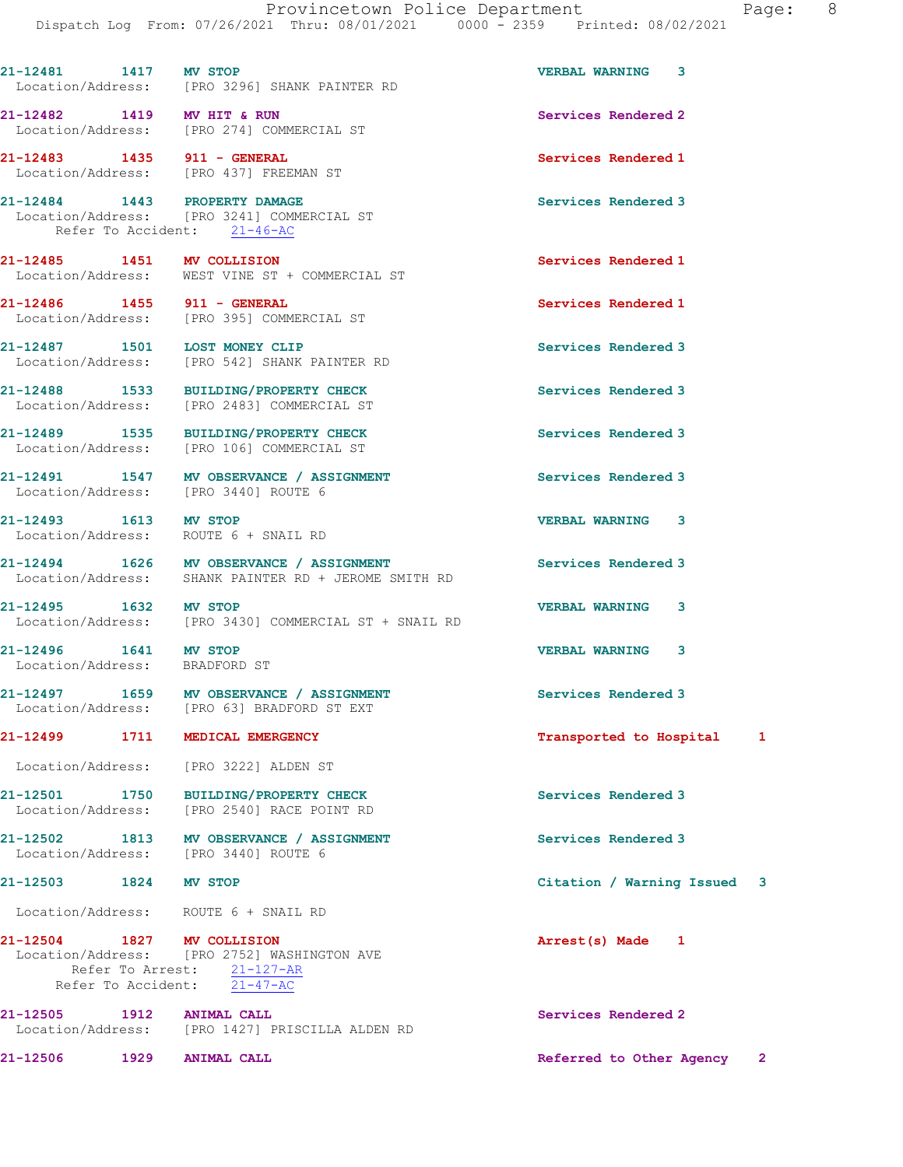| 21-12481 1417 MV STOP                                         | Location/Address: [PRO 3296] SHANK PAINTER RD                                                            | VERBAL WARNING 3            |   |
|---------------------------------------------------------------|----------------------------------------------------------------------------------------------------------|-----------------------------|---|
|                                                               | 21-12482 1419 MV HIT & RUN<br>Location/Address: [PRO 274] COMMERCIAL ST                                  | Services Rendered 2         |   |
|                                                               | Location/Address: [PRO 437] FREEMAN ST                                                                   | Services Rendered 1         |   |
| 21-12484 1443 PROPERTY DAMAGE                                 | Location/Address: [PRO 3241] COMMERCIAL ST<br>Refer To Accident: 21-46-AC                                | Services Rendered 3         |   |
| 21-12485 1451 MV COLLISION                                    | Location/Address: WEST VINE ST + COMMERCIAL ST                                                           | Services Rendered 1         |   |
| 21-12486 1455 911 - GENERAL                                   | Location/Address: [PRO 395] COMMERCIAL ST                                                                | Services Rendered 1         |   |
| 21-12487 1501 LOST MONEY CLIP                                 | Location/Address: [PRO 542] SHANK PAINTER RD                                                             | Services Rendered 3         |   |
|                                                               | 21-12488 1533 BUILDING/PROPERTY CHECK<br>Location/Address: [PRO 2483] COMMERCIAL ST                      | Services Rendered 3         |   |
|                                                               | 21-12489 1535 BUILDING/PROPERTY CHECK<br>Location/Address: [PRO 106] COMMERCIAL ST                       | Services Rendered 3         |   |
|                                                               | 21-12491 1547 MV OBSERVANCE / ASSIGNMENT<br>Location/Address: [PRO 3440] ROUTE 6                         | Services Rendered 3         |   |
| 21-12493 1613 MV STOP<br>Location/Address: ROUTE 6 + SNAIL RD |                                                                                                          | <b>VERBAL WARNING 3</b>     |   |
|                                                               | 21-12494 1626 MV OBSERVANCE / ASSIGNMENT<br>Location/Address: SHANK PAINTER RD + JEROME SMITH RD         | Services Rendered 3         |   |
| 21-12495 1632 MV STOP                                         | Location/Address: [PRO 3430] COMMERCIAL ST + SNAIL RD                                                    | <b>VERBAL WARNING</b><br>3  |   |
| 21-12496 1641 MV STOP<br>Location/Address: BRADFORD ST        |                                                                                                          | <b>VERBAL WARNING</b><br>3  |   |
|                                                               | 21-12497 1659 MV OBSERVANCE / ASSIGNMENT<br>Location/Address: [PRO 63] BRADFORD ST EXT                   | Services Rendered 3         |   |
| 21-12499                                                      | 1711 MEDICAL EMERGENCY                                                                                   | Transported to Hospital     | 1 |
|                                                               | Location/Address: [PRO 3222] ALDEN ST                                                                    |                             |   |
|                                                               | 21-12501 1750 BUILDING/PROPERTY CHECK<br>Location/Address: [PRO 2540] RACE POINT RD                      | Services Rendered 3         |   |
| Location/Address: [PRO 3440] ROUTE 6                          | 21-12502 1813 MV OBSERVANCE / ASSIGNMENT                                                                 | Services Rendered 3         |   |
| 21-12503                                                      | 1824 MV STOP                                                                                             | Citation / Warning Issued 3 |   |
| Location/Address: ROUTE 6 + SNAIL RD                          |                                                                                                          |                             |   |
| 21-12504 1827 MV COLLISION                                    | Location/Address: [PRO 2752] WASHINGTON AVE<br>Refer To Arrest: 21-127-AR<br>Refer To Accident: 21-47-AC | Arrest(s) Made<br>1         |   |
| 21-12505 1912 ANIMAL CALL                                     | Location/Address: [PRO 1427] PRISCILLA ALDEN RD                                                          | Services Rendered 2         |   |
| 21-12506 1929 ANIMAL CALL                                     |                                                                                                          | Referred to Other Agency    | 2 |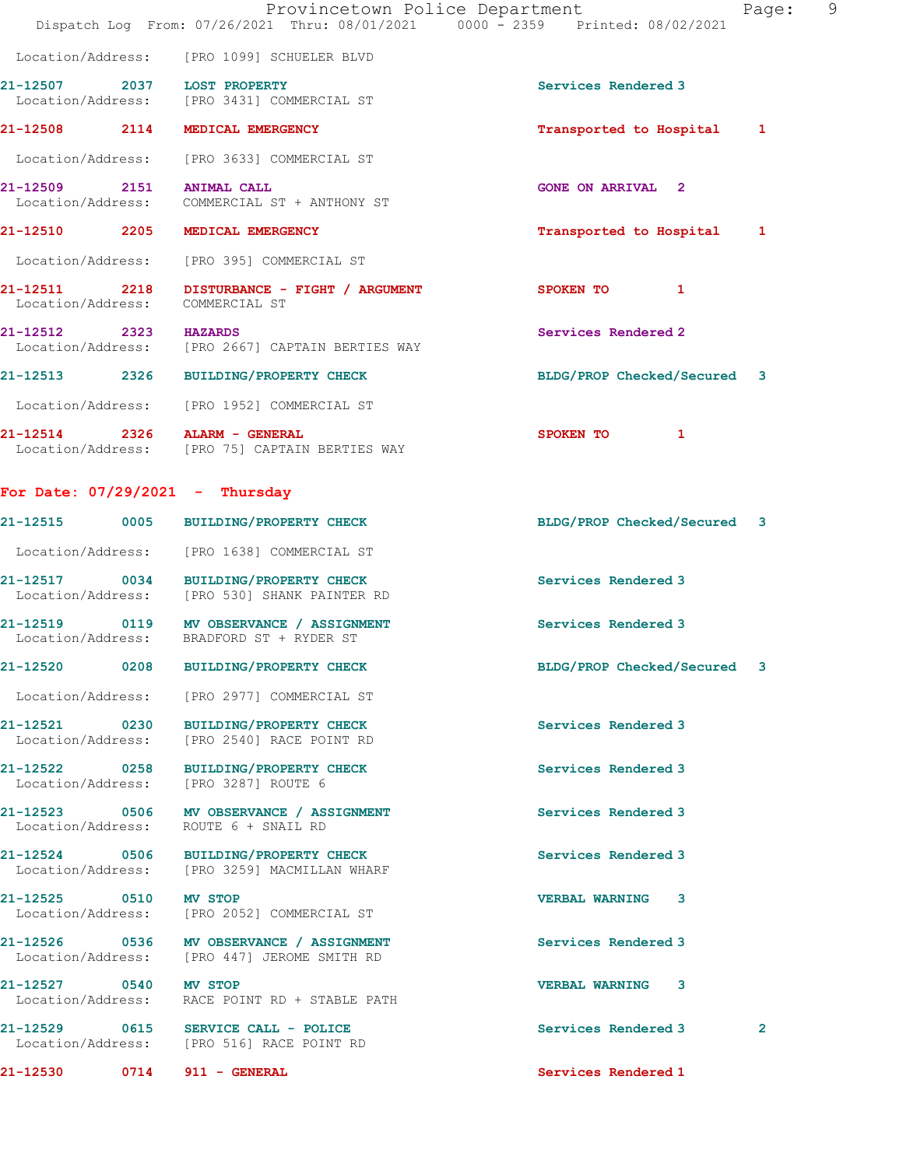|                           | Provincetown Police Department<br>Dispatch Log From: 07/26/2021 Thru: 08/01/2021 0000 - 2359 Printed: 08/02/2021 |                             | Page: 9      |
|---------------------------|------------------------------------------------------------------------------------------------------------------|-----------------------------|--------------|
|                           | Location/Address: [PRO 1099] SCHUELER BLVD                                                                       |                             |              |
|                           | 21-12507 2037 LOST PROPERTY<br>Location/Address: [PRO 3431] COMMERCIAL ST                                        | Services Rendered 3         |              |
|                           | 21-12508 2114 MEDICAL EMERGENCY                                                                                  | Transported to Hospital 1   |              |
|                           | Location/Address: [PRO 3633] COMMERCIAL ST                                                                       |                             |              |
| 21-12509 2151 ANIMAL CALL | Location/Address: COMMERCIAL ST + ANTHONY ST                                                                     | <b>GONE ON ARRIVAL 2</b>    |              |
|                           | 21-12510 2205 MEDICAL EMERGENCY                                                                                  | Transported to Hospital 1   |              |
|                           | Location/Address: [PRO 395] COMMERCIAL ST                                                                        |                             |              |
|                           | 21-12511 2218 DISTURBANCE - FIGHT / ARGUMENT<br>Location/Address: COMMERCIAL ST                                  | SPOKEN TO 1                 |              |
| 21-12512 2323 HAZARDS     | Location/Address: [PRO 2667] CAPTAIN BERTIES WAY                                                                 | Services Rendered 2         |              |
|                           | 21-12513 2326 BUILDING/PROPERTY CHECK                                                                            | BLDG/PROP Checked/Secured 3 |              |
|                           | Location/Address: [PRO 1952] COMMERCIAL ST                                                                       |                             |              |
|                           | 21-12514 2326 ALARM - GENERAL<br>Location/Address: [PRO 75] CAPTAIN BERTIES WAY                                  | SPOKEN TO 1                 |              |
|                           | For Date: $07/29/2021$ - Thursday                                                                                |                             |              |
|                           | 21-12515 0005 BUILDING/PROPERTY CHECK                                                                            | BLDG/PROP Checked/Secured 3 |              |
|                           | Location/Address: [PRO 1638] COMMERCIAL ST                                                                       |                             |              |
|                           | 21-12517 0034 BUILDING/PROPERTY CHECK<br>Location/Address: [PRO 530] SHANK PAINTER RD                            | Services Rendered 3         |              |
|                           | 21-12519 0119 MV OBSERVANCE / ASSIGNMENT<br>Location/Address: BRADFORD ST + RYDER ST                             | Services Rendered 3         |              |
|                           | 21-12520 0208 BUILDING/PROPERTY CHECK                                                                            | BLDG/PROP Checked/Secured 3 |              |
|                           | Location/Address: [PRO 2977] COMMERCIAL ST                                                                       |                             |              |
|                           | 21-12521 0230 BUILDING/PROPERTY CHECK<br>Location/Address: [PRO 2540] RACE POINT RD                              | Services Rendered 3         |              |
|                           | 21-12522 0258 BUILDING/PROPERTY CHECK<br>Location/Address: [PRO 3287] ROUTE 6                                    | Services Rendered 3         |              |
|                           | 21-12523 0506 MV OBSERVANCE / ASSIGNMENT<br>Location/Address: ROUTE 6 + SNAIL RD                                 | Services Rendered 3         |              |
|                           | 21-12524 0506 BUILDING/PROPERTY CHECK<br>Location/Address: [PRO 3259] MACMILLAN WHARF                            | Services Rendered 3         |              |
| 21-12525 0510 MV STOP     | Location/Address: [PRO 2052] COMMERCIAL ST                                                                       | <b>VERBAL WARNING 3</b>     |              |
|                           | 21-12526 0536 MV OBSERVANCE / ASSIGNMENT<br>Location/Address: [PRO 447] JEROME SMITH RD                          | Services Rendered 3         |              |
| 21-12527 0540 MV STOP     | Location/Address: RACE POINT RD + STABLE PATH                                                                    | <b>VERBAL WARNING 3</b>     |              |
|                           | 21-12529 0615 SERVICE CALL - POLICE<br>Location/Address: [PRO 516] RACE POINT RD                                 | Services Rendered 3         | $\mathbf{2}$ |
|                           | 21-12530 0714 911 - GENERAL                                                                                      | Services Rendered 1         |              |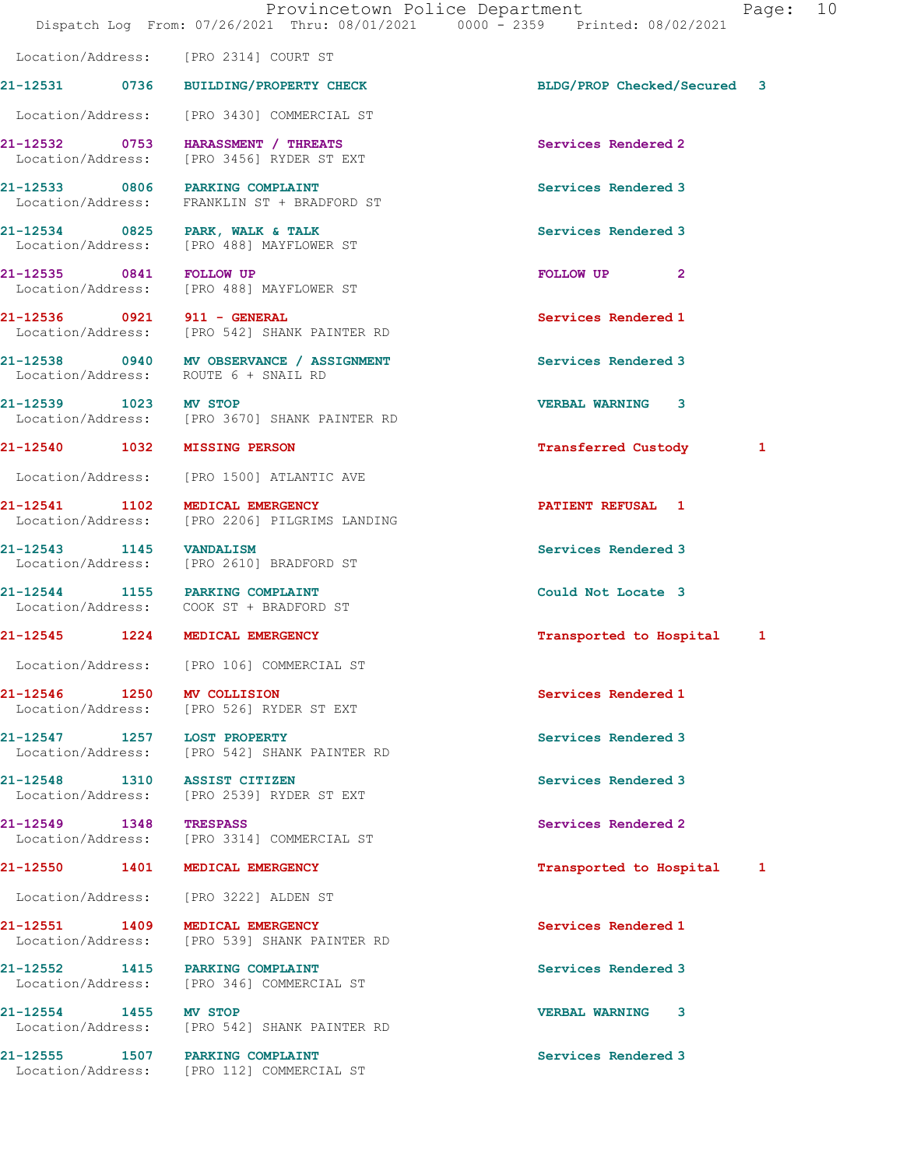21-12531 0736 BUILDING/PROPERTY CHECK BLDG/PROP Checked/Secured 3

21-12532 0753 HARASSMENT / THREATS Services Rendered 2 Location/Address: [PRO 3456] RYDER ST EXT 21-12533 0806 PARKING COMPLAINT<br>
Location/Address: FRANKLIN ST + BRADFORD ST FRANKLIN ST + BRADFORD ST 21-12534 0825 PARK, WALK & TALK Services Rendered 3 Location/Address: [PRO 488] MAYFLOWER ST 21-12535 0841 FOLLOW UP FOLLOW UP 2 Location/Address: [PRO 488] MAYFLOWER ST 21-12536 0921 911 - GENERAL Services Rendered 1 Location/Address: [PRO 542] SHANK PAINTER RD 21-12538 0940 MV OBSERVANCE / ASSIGNMENT Services Rendered 3 Location/Address: ROUTE 6 + SNAIL RD 21-12539 1023 MV STOP VERBAL WARNING 3 Location/Address: [PRO 3670] SHANK PAINTER RD 21-12540 1032 MISSING PERSON Transferred Custody 1 Location/Address: [PRO 1500] ATLANTIC AVE 21-12541 1102 MEDICAL EMERGENCY 1 21-12541 REFUSAL 1 Location/Address: [PRO 2206] PILGRIMS LANDING 21-12543 1145 VANDALISM Services Rendered 3 Location/Address: [PRO 2610] BRADFORD ST 21-12544 1155 PARKING COMPLAINT 112544 1155 PARKING COMPLAINT COULD Could Not Locate 3 Location/Address: 21-12545 1224 MEDICAL EMERGENCY Transported to Hospital 1 Location/Address: [PRO 106] COMMERCIAL ST 21-12546 1250 MV COLLISION Services Rendered 1 Location/Address: [PRO 526] RYDER ST EXT 21-12547 1257 LOST PROPERTY Services Rendered 3 Location/Address: [PRO 542] SHANK PAINTER RD 21-12548 1310 ASSIST CITIZEN Services Rendered 3 Location/Address: [PRO 2539] RYDER ST EXT 21-12549 1348 TRESPASS Services Rendered 2 Location/Address: [PRO 3314] COMMERCIAL ST 21-12550 1401 MEDICAL EMERGENCY Transported to Hospital 1 Location/Address: [PRO 3222] ALDEN ST 21-12551 1409 MEDICAL EMERGENCY Services Rendered 1 Location/Address: [PRO 539] SHANK PAINTER RD 21-12552 1415 PARKING COMPLAINT Services Rendered 3 Location/Address: [PRO 346] COMMERCIAL ST 21-12554 1455 MV STOP 1255 21-12554 1455 MV STOP 12554 21-12554 VERBAL WARNING 3 [PRO 542] SHANK PAINTER RD

Location/Address: [PRO 2314] COURT ST

Location/Address: [PRO 3430] COMMERCIAL ST

21-12555 1507 PARKING COMPLAINT Services Rendered 3 Location/Address: [PRO 112] COMMERCIAL ST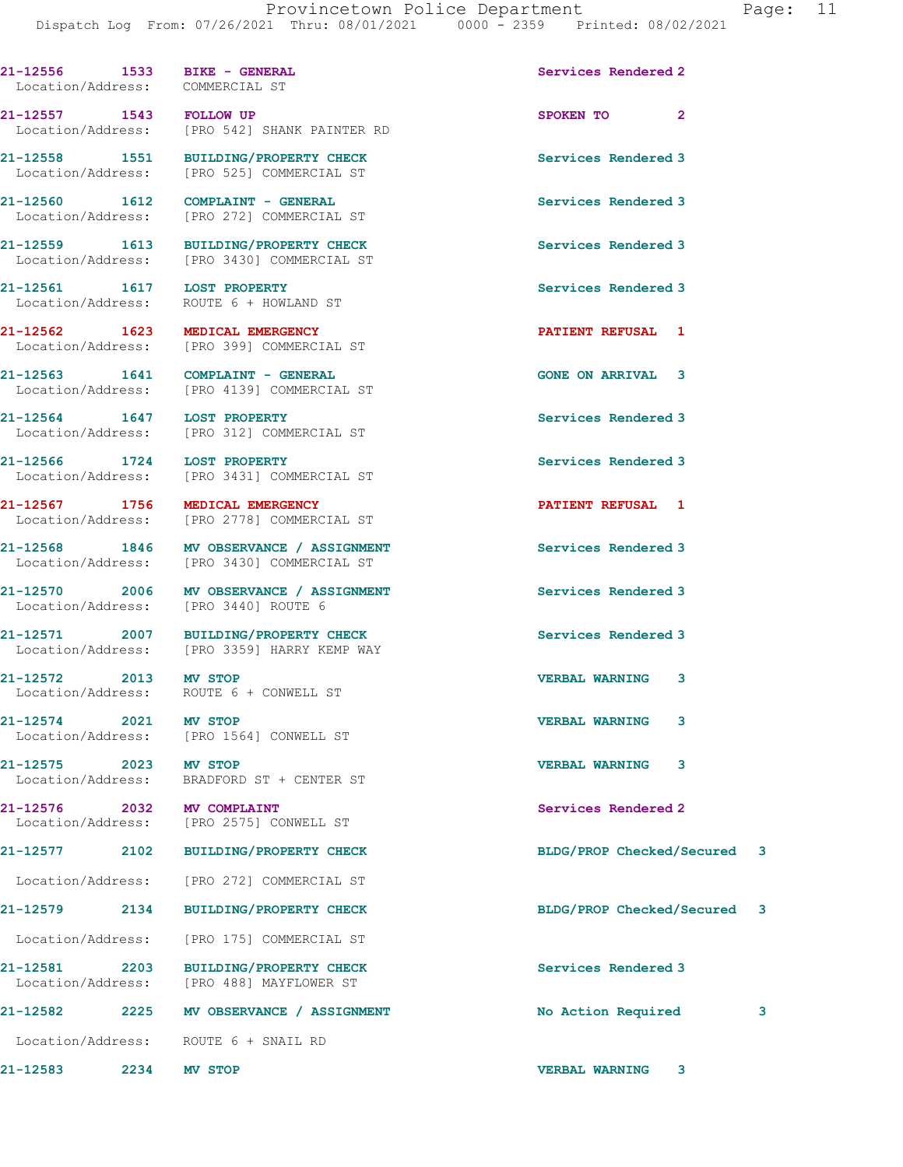| 21-12556 1533 BIKE - GENERAL<br>Location/Address: COMMERCIAL ST |      |                                                                         | Services Rendered 2         |   |
|-----------------------------------------------------------------|------|-------------------------------------------------------------------------|-----------------------------|---|
|                                                                 |      |                                                                         |                             |   |
|                                                                 |      | 21-12557 1543 FOLLOW UP<br>Location/Address: [PRO 542] SHANK PAINTER RD | SPOKEN TO 2                 |   |
|                                                                 |      | 21-12558 1551 BUILDING/PROPERTY CHECK                                   | Services Rendered 3         |   |
|                                                                 |      | Location/Address: [PRO 525] COMMERCIAL ST                               |                             |   |
| 21-12560 1612                                                   |      | COMPLAINT - GENERAL                                                     | Services Rendered 3         |   |
|                                                                 |      | Location/Address: [PRO 272] COMMERCIAL ST                               |                             |   |
|                                                                 |      | 21-12559 1613 BUILDING/PROPERTY CHECK                                   | Services Rendered 3         |   |
|                                                                 |      | Location/Address: [PRO 3430] COMMERCIAL ST                              |                             |   |
| 21-12561    1617    LOST PROPERTY                               |      |                                                                         | Services Rendered 3         |   |
|                                                                 |      | Location/Address: ROUTE 6 + HOWLAND ST                                  |                             |   |
|                                                                 |      | 21-12562 1623 MEDICAL EMERGENCY                                         | PATIENT REFUSAL 1           |   |
|                                                                 |      | Location/Address: [PRO 399] COMMERCIAL ST                               |                             |   |
|                                                                 |      | $21-12563$ 1641 COMPLAINT - GENERAL                                     | <b>GONE ON ARRIVAL 3</b>    |   |
|                                                                 |      | Location/Address: [PRO 4139] COMMERCIAL ST                              |                             |   |
|                                                                 |      | 21-12564 1647 LOST PROPERTY                                             | Services Rendered 3         |   |
|                                                                 |      | Location/Address: [PRO 312] COMMERCIAL ST                               |                             |   |
| 21-12566 1724 LOST PROPERTY                                     |      |                                                                         | Services Rendered 3         |   |
|                                                                 |      | Location/Address: [PRO 3431] COMMERCIAL ST                              |                             |   |
|                                                                 |      | 21-12567 1756 MEDICAL EMERGENCY                                         | PATIENT REFUSAL 1           |   |
|                                                                 |      | Location/Address: [PRO 2778] COMMERCIAL ST                              |                             |   |
|                                                                 |      | 21-12568 1846 MV OBSERVANCE / ASSIGNMENT                                | Services Rendered 3         |   |
|                                                                 |      | Location/Address: [PRO 3430] COMMERCIAL ST                              |                             |   |
|                                                                 |      | 21-12570 2006 MV OBSERVANCE / ASSIGNMENT                                | Services Rendered 3         |   |
|                                                                 |      | Location/Address: [PRO 3440] ROUTE 6                                    |                             |   |
|                                                                 |      | 21-12571 2007 BUILDING/PROPERTY CHECK                                   | Services Rendered 3         |   |
|                                                                 |      | Location/Address: [PRO 3359] HARRY KEMP WAY                             |                             |   |
| 21-12572 2013 MV STOP                                           |      |                                                                         | <b>VERBAL WARNING 3</b>     |   |
|                                                                 |      | Location/Address: ROUTE 6 + CONWELL ST                                  |                             |   |
| $21 - 12574$                                                    | 2021 | MV STOP                                                                 | <b>VERBAL WARNING</b><br>3  |   |
| Location/Address:                                               |      | [PRO 1564] CONWELL ST                                                   |                             |   |
| 21-12575                                                        |      | 2023 MV STOP                                                            | <b>VERBAL WARNING</b><br>3  |   |
| Location/Address:                                               |      | BRADFORD ST + CENTER ST                                                 |                             |   |
| 21-12576 2032 MV COMPLAINT                                      |      |                                                                         | Services Rendered 2         |   |
| Location/Address:                                               |      | [PRO 2575] CONWELL ST                                                   |                             |   |
| 21-12577                                                        | 2102 | <b>BUILDING/PROPERTY CHECK</b>                                          | BLDG/PROP Checked/Secured 3 |   |
|                                                                 |      | Location/Address: [PRO 272] COMMERCIAL ST                               |                             |   |
| 21-12579 2134                                                   |      | <b>BUILDING/PROPERTY CHECK</b>                                          | BLDG/PROP Checked/Secured 3 |   |
| Location/Address:                                               |      | [PRO 175] COMMERCIAL ST                                                 |                             |   |
| 21-12581                                                        |      |                                                                         |                             |   |
| Location/Address:                                               | 2203 | <b>BUILDING/PROPERTY CHECK</b><br>[PRO 488] MAYFLOWER ST                | Services Rendered 3         |   |
| 21-12582                                                        | 2225 | MV OBSERVANCE / ASSIGNMENT                                              | No Action Required          | 3 |
|                                                                 |      | Location/Address: ROUTE 6 + SNAIL RD                                    |                             |   |
| 21-12583                                                        | 2234 | MV STOP                                                                 | <b>VERBAL WARNING</b><br>3  |   |
|                                                                 |      |                                                                         |                             |   |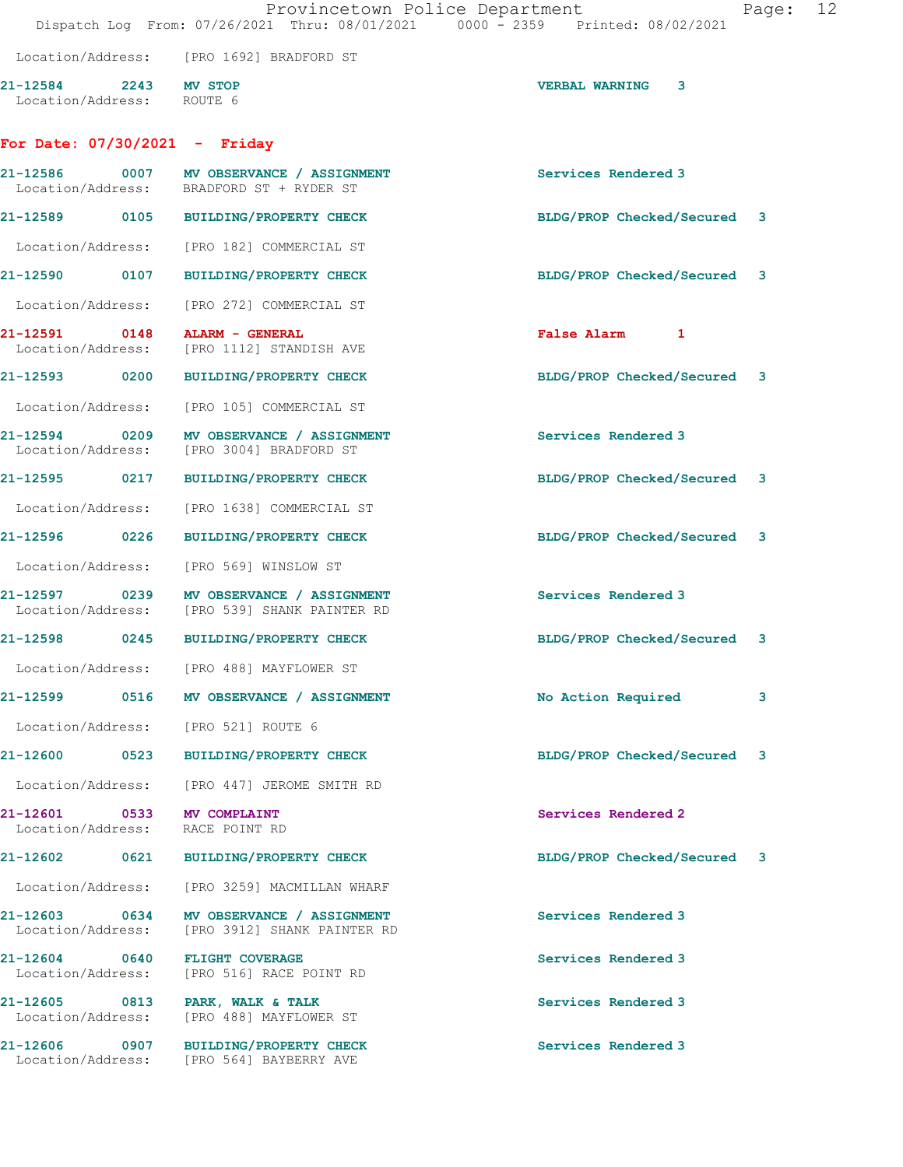|                                                    |                                                                                           | Provincetown Police Department<br>Dispatch Log From: 07/26/2021 Thru: 08/01/2021 0000 - 2359 Printed: 08/02/2021 | Page: | 12 |
|----------------------------------------------------|-------------------------------------------------------------------------------------------|------------------------------------------------------------------------------------------------------------------|-------|----|
|                                                    | Location/Address: [PRO 1692] BRADFORD ST                                                  |                                                                                                                  |       |    |
| 21-12584 2243 MV STOP<br>Location/Address: ROUTE 6 |                                                                                           | <b>VERBAL WARNING</b><br>3                                                                                       |       |    |
| For Date: $07/30/2021$ - Friday                    |                                                                                           |                                                                                                                  |       |    |
|                                                    | 21-12586 0007 MV OBSERVANCE / ASSIGNMENT<br>Location/Address: BRADFORD ST + RYDER ST      | Services Rendered 3                                                                                              |       |    |
|                                                    | 21-12589 0105 BUILDING/PROPERTY CHECK                                                     | BLDG/PROP Checked/Secured 3                                                                                      |       |    |
|                                                    | Location/Address: [PRO 182] COMMERCIAL ST                                                 |                                                                                                                  |       |    |
|                                                    | 21-12590 0107 BUILDING/PROPERTY CHECK                                                     | BLDG/PROP Checked/Secured 3                                                                                      |       |    |
| Location/Address:                                  | [PRO 272] COMMERCIAL ST                                                                   |                                                                                                                  |       |    |
| 21-12591                                           | 0148 ALARM - GENERAL<br>Location/Address: [PRO 1112] STANDISH AVE                         | False Alarm 1                                                                                                    |       |    |
|                                                    | 21-12593 0200 BUILDING/PROPERTY CHECK                                                     | BLDG/PROP Checked/Secured 3                                                                                      |       |    |
|                                                    | Location/Address: [PRO 105] COMMERCIAL ST                                                 |                                                                                                                  |       |    |
|                                                    | 21-12594 0209 MV OBSERVANCE / ASSIGNMENT<br>Location/Address: [PRO 3004] BRADFORD ST      | Services Rendered 3                                                                                              |       |    |
|                                                    | 21-12595 0217 BUILDING/PROPERTY CHECK                                                     | BLDG/PROP Checked/Secured 3                                                                                      |       |    |
|                                                    | Location/Address: [PRO 1638] COMMERCIAL ST                                                |                                                                                                                  |       |    |
|                                                    | 21-12596 0226 BUILDING/PROPERTY CHECK                                                     | BLDG/PROP Checked/Secured 3                                                                                      |       |    |
| Location/Address:                                  | [PRO 569] WINSLOW ST                                                                      |                                                                                                                  |       |    |
|                                                    | 21-12597 0239 MV OBSERVANCE / ASSIGNMENT<br>Location/Address: [PRO 539] SHANK PAINTER RD  | Services Rendered 3                                                                                              |       |    |
| 21-12598                                           | 0245 BUILDING/PROPERTY CHECK                                                              | BLDG/PROP Checked/Secured 3                                                                                      |       |    |
|                                                    | Location/Address: [PRO 488] MAYFLOWER ST                                                  |                                                                                                                  |       |    |
|                                                    | 21-12599 0516 MV OBSERVANCE / ASSIGNMENT                                                  | No Action Required                                                                                               | 3     |    |
|                                                    | Location/Address: [PRO 521] ROUTE 6                                                       |                                                                                                                  |       |    |
|                                                    | 21-12600 0523 BUILDING/PROPERTY CHECK                                                     | BLDG/PROP Checked/Secured 3                                                                                      |       |    |
|                                                    | Location/Address: [PRO 447] JEROME SMITH RD                                               |                                                                                                                  |       |    |
| 21-12601 0533 MV COMPLAINT<br>Location/Address:    | RACE POINT RD                                                                             | Services Rendered 2                                                                                              |       |    |
|                                                    | 21-12602 0621 BUILDING/PROPERTY CHECK                                                     | BLDG/PROP Checked/Secured 3                                                                                      |       |    |
|                                                    | Location/Address: [PRO 3259] MACMILLAN WHARF                                              |                                                                                                                  |       |    |
|                                                    | 21-12603 0634 MV OBSERVANCE / ASSIGNMENT<br>Location/Address: [PRO 3912] SHANK PAINTER RD | Services Rendered 3                                                                                              |       |    |
|                                                    | 21-12604 0640 FLIGHT COVERAGE<br>Location/Address: [PRO 516] RACE POINT RD                | Services Rendered 3                                                                                              |       |    |
|                                                    | 21-12605 0813 PARK, WALK & TALK<br>Location/Address: [PRO 488] MAYFLOWER ST               | Services Rendered 3                                                                                              |       |    |
|                                                    | 21-12606 0907 BUILDING/PROPERTY CHECK<br>Location/Address: [PRO 564] BAYBERRY AVE         | Services Rendered 3                                                                                              |       |    |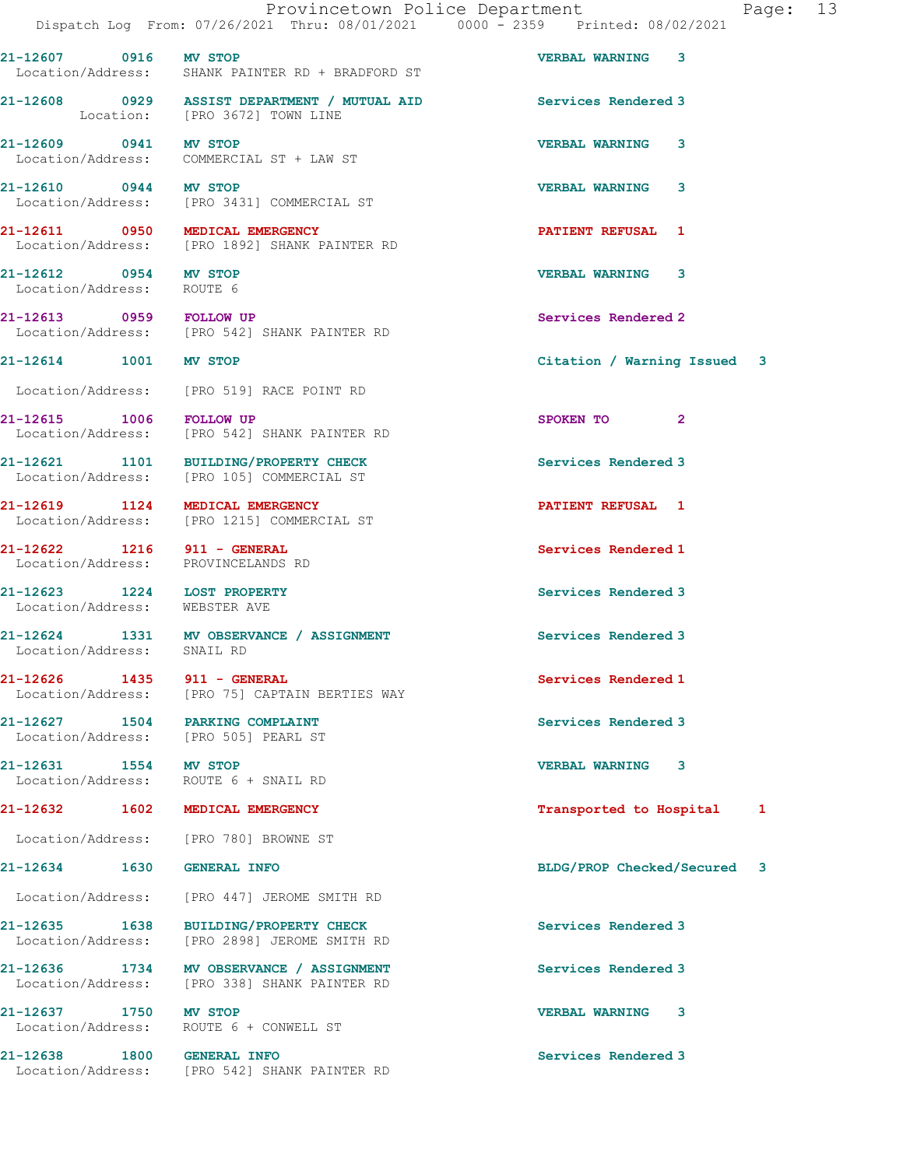Provincetown Police Department Fage: 13 Dispatch Log From: 07/26/2021 Thru: 08/01/2021 0000 - 2359 Printed: 08/02/2021 21-12607 0916 MV STOP VERBAL WARNING 3 Location/Address: SHANK PAINTER RD + BRADFORD ST 21-12608 0929 ASSIST DEPARTMENT / MUTUAL AID Services Rendered 3 Location: [PRO 3672] TOWN LINE 21-12609 0941 MV STOP VERBAL WARNING 3 Location/Address: COMMERCIAL ST + LAW ST 21-12610 0944 MV STOP VERBAL WARNING 3<br>
Location/Address: [PRO 3431] COMMERCIAL ST [PRO 3431] COMMERCIAL ST 21-12611 0950 MEDICAL EMERGENCY PATIENT REFUSAL 1 Location/Address: [PRO 1892] SHANK PAINTER RD 21-12612 0954 MV STOP VERBAL WARNING 3 Location/Address: ROUTE 6 21-12613 0959 FOLLOW UP COMBER RESERVICES Rendered 2 <a>>
Cocation/Address: [PRO 542] SHANK PAINTER RD [PRO 542] SHANK PAINTER RD 21-12614 1001 MV STOP Citation / Warning Issued 3 Location/Address: [PRO 519] RACE POINT RD 21-12615 1006 FOLLOW UP SPOKEN TO 2<br>
Location/Address: [PRO 542] SHANK PAINTER RD [PRO 542] SHANK PAINTER RD 21-12621 1101 BUILDING/PROPERTY CHECK Services Rendered 3 Location/Address: [PRO 105] COMMERCIAL ST 21-12619 1124 MEDICAL EMERGENCY **1201 124 FATIENT REFUSAL** 1 Location/Address: [PRO 1215] COMMERCIAL ST 21-12622 1216 911 - GENERAL Services Rendered 1 Location/Address: PROVINCELANDS RD 21-12623 1224 LOST PROPERTY Services Rendered 3 Location/Address: WEBSTER AVE 21-12624 1331 MV OBSERVANCE / ASSIGNMENT Services Rendered 3 Location/Address: SNAIL RD 21-12626 1435 911 - GENERAL Services Rendered 1 Location/Address: [PRO 75] CAPTAIN BERTIES WAY 21-12627 1504 PARKING COMPLAINT Services Rendered 3 Location/Address: [PRO 505] PEARL ST 21-12631 1554 MV STOP VERBAL WARNING 3 Location/Address: ROUTE 6 + SNAIL RD 21-12632 1602 MEDICAL EMERGENCY 1888 120 MEDICAL EMERGENCY 1888 120 MEDICAL 1 Location/Address: [PRO 780] BROWNE ST 21-12634 1630 GENERAL INFO BLDG/PROP Checked/Secured 3 Location/Address: [PRO 447] JEROME SMITH RD 21-12635 1638 BUILDING/PROPERTY CHECK Services Rendered 3 Location/Address: [PRO 2898] JEROME SMITH RD 21-12636 1734 MV OBSERVANCE / ASSIGNMENT Services Rendered 3 Location/Address: [PRO 338] SHANK PAINTER RD 21-12637 1750 MV STOP 10 21-12637 1750 MV STOP 10 21-12637 VERBAL WARNING 3 ROUTE 6 + CONWELL ST 21-12638 1800 GENERAL INFO Services Rendered 3 Location/Address: [PRO 542] SHANK PAINTER RD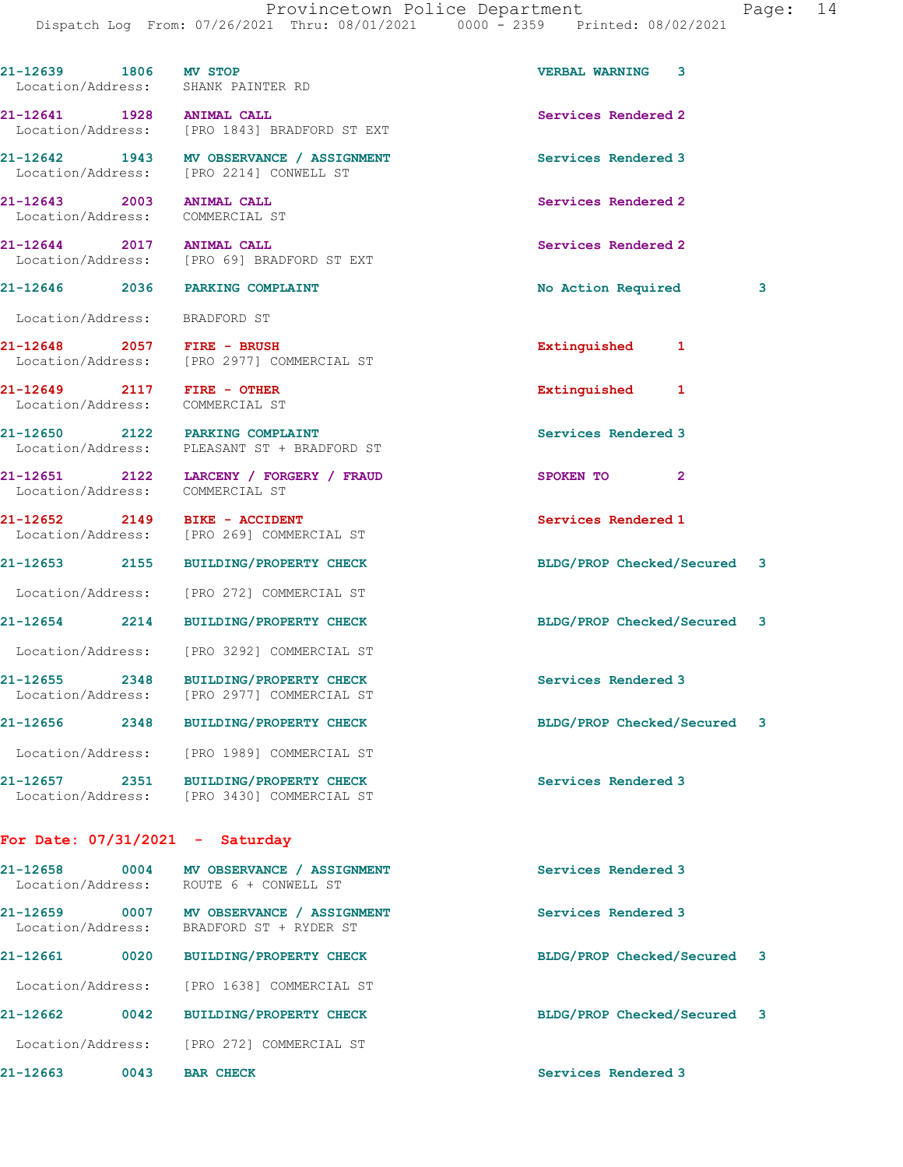| 21-12639 1806 MV STOP                                         |      | Location/Address: SHANK PAINTER RD                                                   | VERBAL WARNING 3            |   |
|---------------------------------------------------------------|------|--------------------------------------------------------------------------------------|-----------------------------|---|
| 21-12641 1928 ANIMAL CALL                                     |      | Location/Address: [PRO 1843] BRADFORD ST EXT                                         | Services Rendered 2         |   |
|                                                               |      | 21-12642 1943 MV OBSERVANCE / ASSIGNMENT<br>Location/Address: [PRO 2214] CONWELL ST  | Services Rendered 3         |   |
| 21-12643 2003 ANIMAL CALL<br>Location/Address: COMMERCIAL ST  |      |                                                                                      | Services Rendered 2         |   |
| 21-12644 2017 ANIMAL CALL                                     |      | Location/Address: [PRO 69] BRADFORD ST EXT                                           | Services Rendered 2         |   |
|                                                               |      | 21-12646 2036 PARKING COMPLAINT                                                      | No Action Required          | 3 |
| Location/Address: BRADFORD ST                                 |      |                                                                                      |                             |   |
| 21-12648 2057 FIRE - BRUSH                                    |      | Location/Address: [PRO 2977] COMMERCIAL ST                                           | Extinguished 1              |   |
| 21-12649 2117 FIRE - OTHER<br>Location/Address: COMMERCIAL ST |      |                                                                                      | Extinguished 1              |   |
|                                                               |      | 21-12650 2122 PARKING COMPLAINT<br>Location/Address: PLEASANT ST + BRADFORD ST       | Services Rendered 3         |   |
| Location/Address: COMMERCIAL ST                               |      | 21-12651 2122 LARCENY / FORGERY / FRAUD                                              | SPOKEN TO 2                 |   |
| 21-12652 2149 BIKE - ACCIDENT                                 |      | Location/Address: [PRO 269] COMMERCIAL ST                                            | Services Rendered 1         |   |
|                                                               |      | 21-12653 2155 BUILDING/PROPERTY CHECK                                                | BLDG/PROP Checked/Secured 3 |   |
|                                                               |      | Location/Address: [PRO 272] COMMERCIAL ST                                            |                             |   |
|                                                               |      | 21-12654 2214 BUILDING/PROPERTY CHECK                                                | BLDG/PROP Checked/Secured 3 |   |
|                                                               |      | Location/Address: [PRO 3292] COMMERCIAL ST                                           |                             |   |
| 21-12655 2348<br>Location/Address:                            |      | <b>BUILDING/PROPERTY CHECK</b><br>[PRO 2977] COMMERCIAL ST                           | Services Rendered 3         |   |
| $21 - 12656$                                                  | 2348 | <b>BUILDING/PROPERTY CHECK</b>                                                       | BLDG/PROP Checked/Secured   | 3 |
|                                                               |      | Location/Address: [PRO 1989] COMMERCIAL ST                                           |                             |   |
|                                                               |      | 21-12657 2351 BUILDING/PROPERTY CHECK<br>Location/Address: [PRO 3430] COMMERCIAL ST  | Services Rendered 3         |   |
| For Date: $07/31/2021$ - Saturday                             |      |                                                                                      |                             |   |
|                                                               |      | 21-12658 0004 MV OBSERVANCE / ASSIGNMENT<br>Location/Address: ROUTE 6 + CONWELL ST   | Services Rendered 3         |   |
|                                                               |      | 21-12659 0007 MV OBSERVANCE / ASSIGNMENT<br>Location/Address: BRADFORD ST + RYDER ST | Services Rendered 3         |   |
|                                                               |      | 21-12661 0020 BUILDING/PROPERTY CHECK                                                | BLDG/PROP Checked/Secured 3 |   |
| Location/Address:                                             |      | [PRO 1638] COMMERCIAL ST                                                             |                             |   |
| 21-12662                                                      | 0042 | <b>BUILDING/PROPERTY CHECK</b>                                                       | BLDG/PROP Checked/Secured 3 |   |
| Location/Address:                                             |      | [PRO 272] COMMERCIAL ST                                                              |                             |   |

21-12663 0043 BAR CHECK Services Rendered 3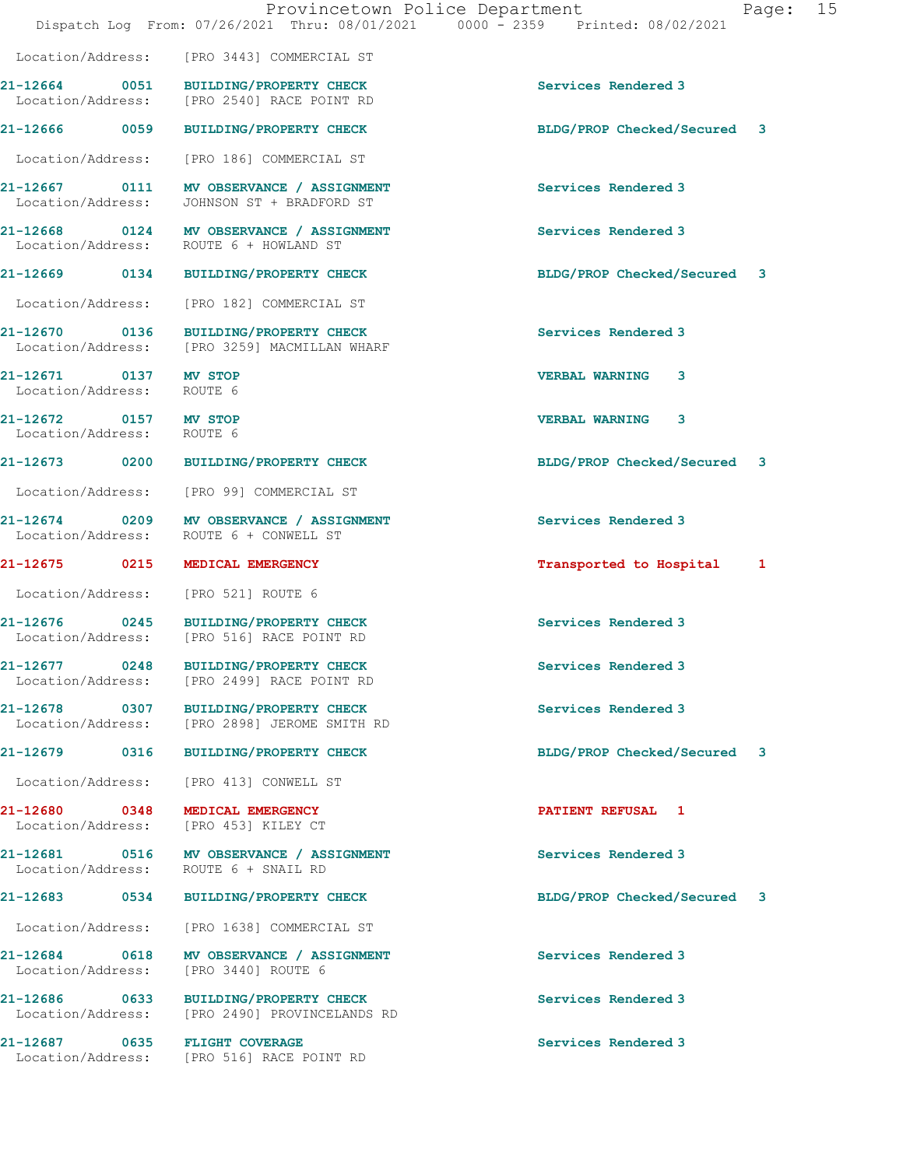|                                                    | Dispatch Log From: 07/26/2021 Thru: 08/01/2021 0000 - 2359 Printed: 08/02/2021         | Provincetown Police Department<br>Page: 15 |
|----------------------------------------------------|----------------------------------------------------------------------------------------|--------------------------------------------|
|                                                    | Location/Address: [PRO 3443] COMMERCIAL ST                                             |                                            |
|                                                    | 21-12664 0051 BUILDING/PROPERTY CHECK<br>Location/Address: [PRO 2540] RACE POINT RD    | Services Rendered 3                        |
|                                                    | 21-12666 0059 BUILDING/PROPERTY CHECK                                                  | BLDG/PROP Checked/Secured 3                |
|                                                    | Location/Address: [PRO 186] COMMERCIAL ST                                              |                                            |
|                                                    | 21-12667 0111 MV OBSERVANCE / ASSIGNMENT<br>Location/Address: JOHNSON ST + BRADFORD ST | Services Rendered 3                        |
|                                                    | 21-12668 0124 MV OBSERVANCE / ASSIGNMENT<br>Location/Address: ROUTE 6 + HOWLAND ST     | Services Rendered 3                        |
|                                                    | 21-12669 0134 BUILDING/PROPERTY CHECK                                                  | BLDG/PROP Checked/Secured 3                |
|                                                    | Location/Address: [PRO 182] COMMERCIAL ST                                              |                                            |
|                                                    | 21-12670 0136 BUILDING/PROPERTY CHECK<br>Location/Address: [PRO 3259] MACMILLAN WHARF  | Services Rendered 3                        |
| 21-12671 0137 MV STOP<br>Location/Address: ROUTE 6 |                                                                                        | VERBAL WARNING 3                           |
| 21-12672 0157 MV STOP<br>Location/Address: ROUTE 6 |                                                                                        | <b>VERBAL WARNING 3</b>                    |
|                                                    | 21-12673 0200 BUILDING/PROPERTY CHECK                                                  | BLDG/PROP Checked/Secured 3                |
|                                                    | Location/Address: [PRO 99] COMMERCIAL ST                                               |                                            |
|                                                    | 21-12674 0209 MV OBSERVANCE / ASSIGNMENT<br>Location/Address: ROUTE 6 + CONWELL ST     | Services Rendered 3                        |
|                                                    | 21-12675 0215 MEDICAL EMERGENCY                                                        | Transported to Hospital 1                  |
|                                                    | Location/Address: [PRO 521] ROUTE 6                                                    |                                            |
|                                                    | 21-12676 0245 BUILDING/PROPERTY CHECK<br>Location/Address: [PRO 516] RACE POINT RD     | Services Rendered 3                        |
|                                                    | 21-12677 0248 BUILDING/PROPERTY CHECK<br>Location/Address: [PRO 2499] RACE POINT RD    | Services Rendered 3                        |
|                                                    | 21-12678 0307 BUILDING/PROPERTY CHECK<br>Location/Address: [PRO 2898] JEROME SMITH RD  | Services Rendered 3                        |
|                                                    | 21-12679 0316 BUILDING/PROPERTY CHECK                                                  | BLDG/PROP Checked/Secured 3                |
|                                                    | Location/Address: [PRO 413] CONWELL ST                                                 |                                            |
|                                                    | 21-12680 0348 MEDICAL EMERGENCY<br>Location/Address: [PRO 453] KILEY CT                | <b>PATIENT REFUSAL 1</b>                   |
|                                                    | 21-12681 0516 MV OBSERVANCE / ASSIGNMENT<br>Location/Address: ROUTE 6 + SNAIL RD       | Services Rendered 3                        |
|                                                    | 21-12683 0534 BUILDING/PROPERTY CHECK                                                  | BLDG/PROP Checked/Secured 3                |
|                                                    | Location/Address: [PRO 1638] COMMERCIAL ST                                             |                                            |
| Location/Address:                                  | 21-12684 0618 MV OBSERVANCE / ASSIGNMENT<br>[PRO 3440] ROUTE 6                         | Services Rendered 3                        |
|                                                    | 21-12686 0633 BUILDING/PROPERTY CHECK<br>Location/Address: [PRO 2490] PROVINCELANDS RD | Services Rendered 3                        |
|                                                    | 21-12687 0635 FLIGHT COVERAGE<br>Location/Address: [PRO 516] RACE POINT RD             | Services Rendered 3                        |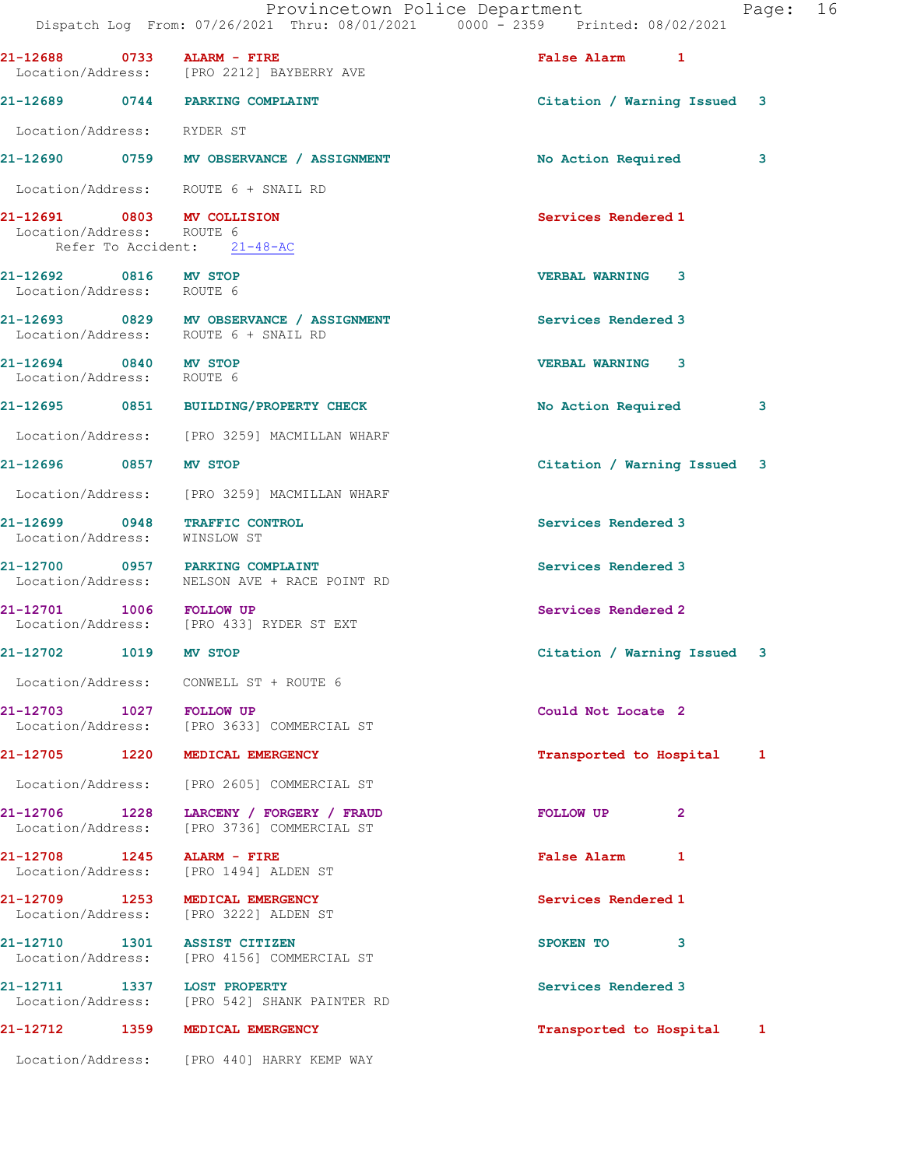|                                                    | Dispatch Log From: 07/26/2021 Thru: 08/01/2021 0000 - 2359 Printed: 08/02/2021   | Provincetown Police Department | Page: 16 |  |
|----------------------------------------------------|----------------------------------------------------------------------------------|--------------------------------|----------|--|
|                                                    | 21-12688 0733 ALARM - FIRE<br>Location/Address: [PRO 2212] BAYBERRY AVE          | False Alarm 1                  |          |  |
|                                                    | 21-12689 0744 PARKING COMPLAINT                                                  | Citation / Warning Issued 3    |          |  |
| Location/Address: RYDER ST                         |                                                                                  |                                |          |  |
|                                                    | 21-12690 0759 MV OBSERVANCE / ASSIGNMENT                                         | No Action Required             | 3        |  |
|                                                    | Location/Address: ROUTE 6 + SNAIL RD                                             |                                |          |  |
| Location/Address: ROUTE 6                          | 21-12691 0803 MV COLLISION<br>Refer To Accident: 21-48-AC                        | Services Rendered 1            |          |  |
| 21-12692 0816 MV STOP<br>Location/Address: ROUTE 6 |                                                                                  | <b>VERBAL WARNING 3</b>        |          |  |
|                                                    | 21-12693 0829 MV OBSERVANCE / ASSIGNMENT<br>Location/Address: ROUTE 6 + SNAIL RD | Services Rendered 3            |          |  |
| 21-12694 0840 MV STOP<br>Location/Address: ROUTE 6 |                                                                                  | <b>VERBAL WARNING 3</b>        |          |  |
|                                                    | 21-12695 0851 BUILDING/PROPERTY CHECK                                            | No Action Required             | 3        |  |
|                                                    | Location/Address: [PRO 3259] MACMILLAN WHARF                                     |                                |          |  |
| 21-12696 0857 MV STOP                              |                                                                                  | Citation / Warning Issued 3    |          |  |
|                                                    | Location/Address: [PRO 3259] MACMILLAN WHARF                                     |                                |          |  |
| Location/Address: WINSLOW ST                       | 21-12699 0948 TRAFFIC CONTROL                                                    | Services Rendered 3            |          |  |
|                                                    | 21-12700 0957 PARKING COMPLAINT<br>Location/Address: NELSON AVE + RACE POINT RD  | Services Rendered 3            |          |  |
| 21-12701 1006 FOLLOW UP                            | Location/Address: [PRO 433] RYDER ST EXT                                         | Services Rendered 2            |          |  |
| 21-12702 1019 MV STOP                              |                                                                                  | Citation / Warning Issued 3    |          |  |
|                                                    | Location/Address: CONWELL ST + ROUTE 6                                           |                                |          |  |
| 21-12703 1027 FOLLOW UP                            | Location/Address: [PRO 3633] COMMERCIAL ST                                       | Could Not Locate 2             |          |  |
|                                                    | 21-12705 1220 MEDICAL EMERGENCY                                                  | Transported to Hospital 1      |          |  |
|                                                    | Location/Address: [PRO 2605] COMMERCIAL ST                                       |                                |          |  |
| 21-12706 1228<br>Location/Address:                 | LARCENY / FORGERY / FRAUD<br>[PRO 3736] COMMERCIAL ST                            | FOLLOW UP<br>$\mathbf{2}$      |          |  |
| 21-12708 1245                                      | ALARM - FIRE<br>Location/Address: [PRO 1494] ALDEN ST                            | False Alarm 1                  |          |  |
| 21-12709 1253<br>Location/Address:                 | MEDICAL EMERGENCY<br>[PRO 3222] ALDEN ST                                         | Services Rendered 1            |          |  |
| 21-12710 1301                                      | <b>ASSIST CITIZEN</b><br>Location/Address: [PRO 4156] COMMERCIAL ST              | SPOKEN TO<br>3                 |          |  |
|                                                    | 21-12711 1337 LOST PROPERTY<br>Location/Address: [PRO 542] SHANK PAINTER RD      | Services Rendered 3            |          |  |
|                                                    | 21-12712 1359 MEDICAL EMERGENCY                                                  | Transported to Hospital 1      |          |  |
|                                                    | Location/Address: [PRO 440] HARRY KEMP WAY                                       |                                |          |  |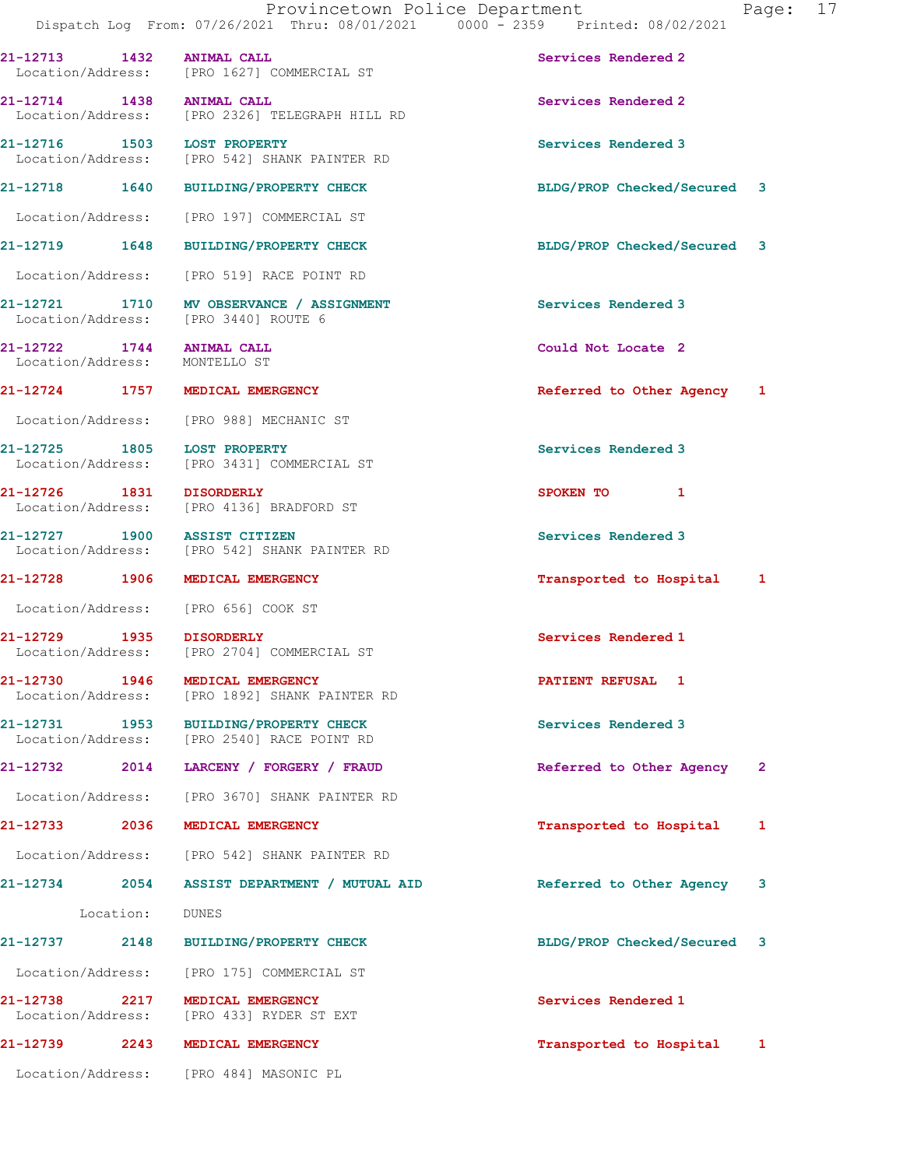21-12713 1432 ANIMAL CALL Services Rendered 2 Location/Address: [PRO 1627] COMMERCIAL ST 21-12714 1438 ANIMAL CALL 31-12714 Services Rendered 2 Location/Address: [PRO 2326] TELEGRAPH HILL RD 21-12716 1503 LOST PROPERTY **1200 Services Rendered 3**  Location/Address: [PRO 542] SHANK PAINTER RD 21-12718 1640 BUILDING/PROPERTY CHECK BLDG/PROP Checked/Secured 3 Location/Address: [PRO 197] COMMERCIAL ST 21-12719 1648 BUILDING/PROPERTY CHECK BLDG/PROP Checked/Secured 3 Location/Address: [PRO 519] RACE POINT RD 21-12721 1710 MV OBSERVANCE / ASSIGNMENT Services Rendered 3 Location/Address: [PRO 3440] ROUTE 6 21-12722 1744 ANIMAL CALL Could Not Locate 2<br>
Location/Address: MONTELLO ST Location/Address: 21-12724 1757 MEDICAL EMERGENCY 1 21-12724 1757 MEDICAL EMERGENCY Location/Address: [PRO 988] MECHANIC ST 21-12725 1805 LOST PROPERTY Services Rendered 3 Location/Address: [PRO 3431] COMMERCIAL ST 21-12726 1831 DISORDERLY SPOKEN TO 1 Location/Address: [PRO 4136] BRADFORD ST 21-12727 1900 ASSIST CITIZEN Services Rendered 3 Location/Address: [PRO 542] SHANK PAINTER RD 21-12728 1906 MEDICAL EMERGENCY Transported to Hospital 1 Location/Address: [PRO 656] COOK ST 21-12729 1935 DISORDERLY Services Rendered 1 [PRO 2704] COMMERCIAL ST 21-12730 1946 MEDICAL EMERGENCY PATIENT REFUSAL 1 Location/Address: [PRO 1892] SHANK PAINTER RD 21-12731 1953 BUILDING/PROPERTY CHECK Services Rendered 3 Location/Address: [PRO 2540] RACE POINT RD 21-12732 2014 LARCENY / FORGERY / FRAUD Referred to Other Agency 2 Location/Address: [PRO 3670] SHANK PAINTER RD 21-12733 2036 MEDICAL EMERGENCY Transported to Hospital 1 Location/Address: [PRO 542] SHANK PAINTER RD 21-12734 2054 ASSIST DEPARTMENT / MUTUAL AID Referred to Other Agency 3 Location: DUNES 21-12737 2148 BUILDING/PROPERTY CHECK BLDG/PROP Checked/Secured 3 Location/Address: [PRO 175] COMMERCIAL ST 21-12738 2217 MEDICAL EMERGENCY Services Rendered 1 Section/Address: [PRO 433] RYDER ST EXT Location/Address: [PRO 433] RYDER ST EXT 21-12739 2243 MEDICAL EMERGENCY Transported to Hospital 1 Location/Address: [PRO 484] MASONIC PL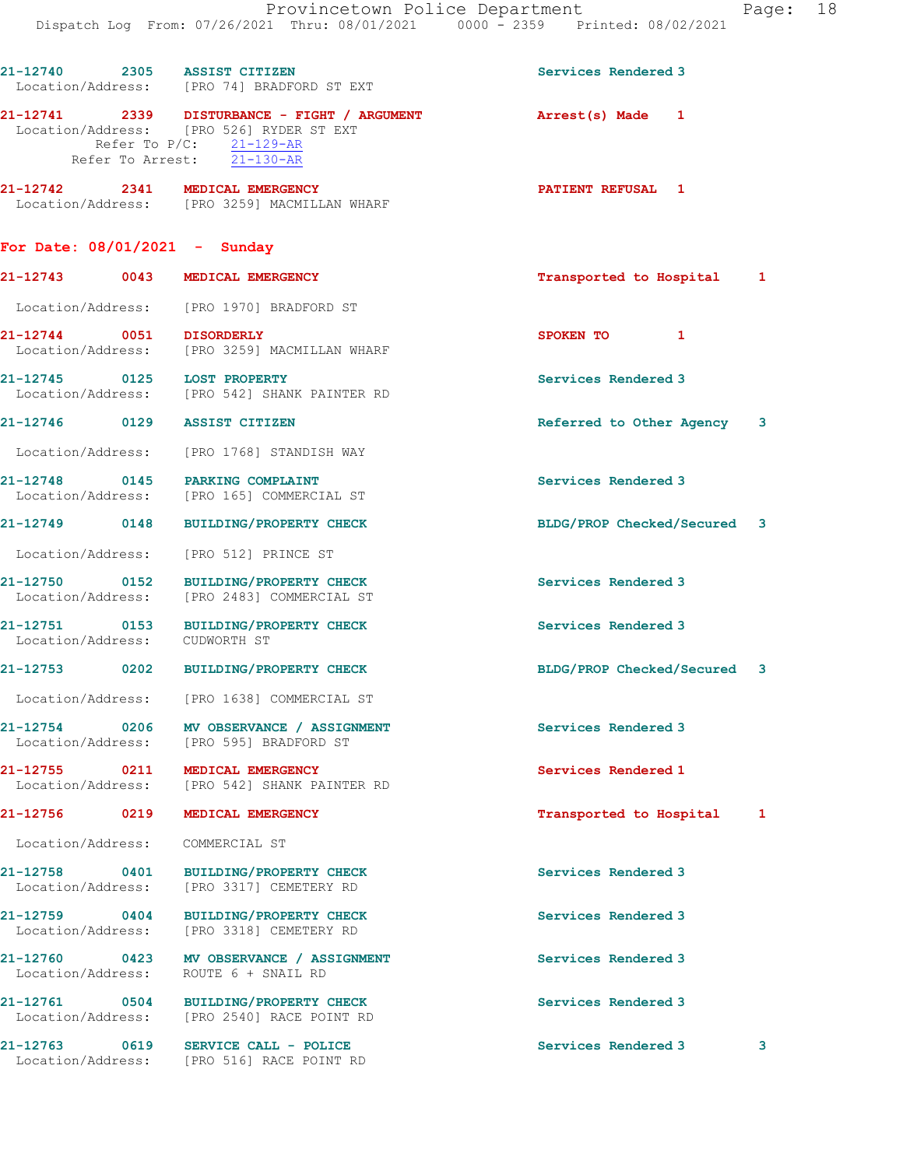21-12741 2339 DISTURBANCE - FIGHT / ARGUMENT Arrest(s) Made 1 Location/Address: [PRO 526] RYDER ST EXT Refer To P/C:  $21-129-AR$ Refer To Arrest: 21-130-AR

21-12742 2341 MEDICAL EMERGENCY **PATIENT REFUSAL** 1 Location/Address: [PRO 3259] MACMILLAN WHARF

## For Date: 08/01/2021 - Sunday

| 21-12743                      | 0043 | MEDICAL EMERGENCY                                  | Transported to Hospital  |  |
|-------------------------------|------|----------------------------------------------------|--------------------------|--|
| Location/Address:             |      | [PRO 1970] BRADFORD ST                             |                          |  |
| 21-12744<br>Location/Address: | 0051 | <b>DISORDERLY</b><br>[PRO 3259] MACMILLAN WHARF    | <b>SPOKEN TO</b>         |  |
| 21-12745<br>Location/Address: | 0125 | <b>LOST PROPERTY</b><br>[PRO 542] SHANK PAINTER RD | Services Rendered 3      |  |
| 21-12746                      | 0129 | <b>ASSIST CITIZEN</b>                              | Referred to Other Agency |  |

Location/Address: [PRO 1768] STANDISH WAY

21-12748 0145 PARKING COMPLAINT COMPOSER Services Rendered 3<br>
Location/Address: [PRO 165] COMMERCIAL ST [PRO 165] COMMERCIAL ST

21-12749 0148 BUILDING/PROPERTY CHECK BLDG/PROP Checked/Secured 3

Location/Address: [PRO 512] PRINCE ST

21-12750 0152 BUILDING/PROPERTY CHECK Services Rendered 3 Location/Address: [PRO 2483] COMMERCIAL ST

21-12751 0153 BUILDING/PROPERTY CHECK Services Rendered 3 Location/Address: CUDWORTH ST

21-12753 0202 BUILDING/PROPERTY CHECK BLDG/PROP Checked/Secured 3

Location/Address: [PRO 1638] COMMERCIAL ST

21-12754 0206 MV OBSERVANCE / ASSIGNMENT Services Rendered 3 Location/Address: [PRO 595] BRADFORD ST

21-12755 0211 MEDICAL EMERGENCY Services Rendered 1 Location/Address: [PRO 542] SHANK PAINTER RD

Location/Address: COMMERCIAL ST

21-12758 0401 BUILDING/PROPERTY CHECK Services Rendered 3<br>
Location/Address: [PRO 3317] CEMETERY RD [PRO 3317] CEMETERY RD

21-12759 0404 BUILDING/PROPERTY CHECK Services Rendered 3 Location/Address: [PRO 3318] CEMETERY RD

21-12760 0423 MV OBSERVANCE / ASSIGNMENT Services Rendered 3 Location/Address: ROUTE 6 + SNAIL RD

21-12761 0504 BUILDING/PROPERTY CHECK Services Rendered 3 Location/Address: [PRO 2540] RACE POINT RD

21-12763 0619 SERVICE CALL - POLICE 21 Services Rendered 3 3 Location/Address: [PRO 516] RACE POINT RD

21-12756 0219 MEDICAL EMERGENCY Transported to Hospital 1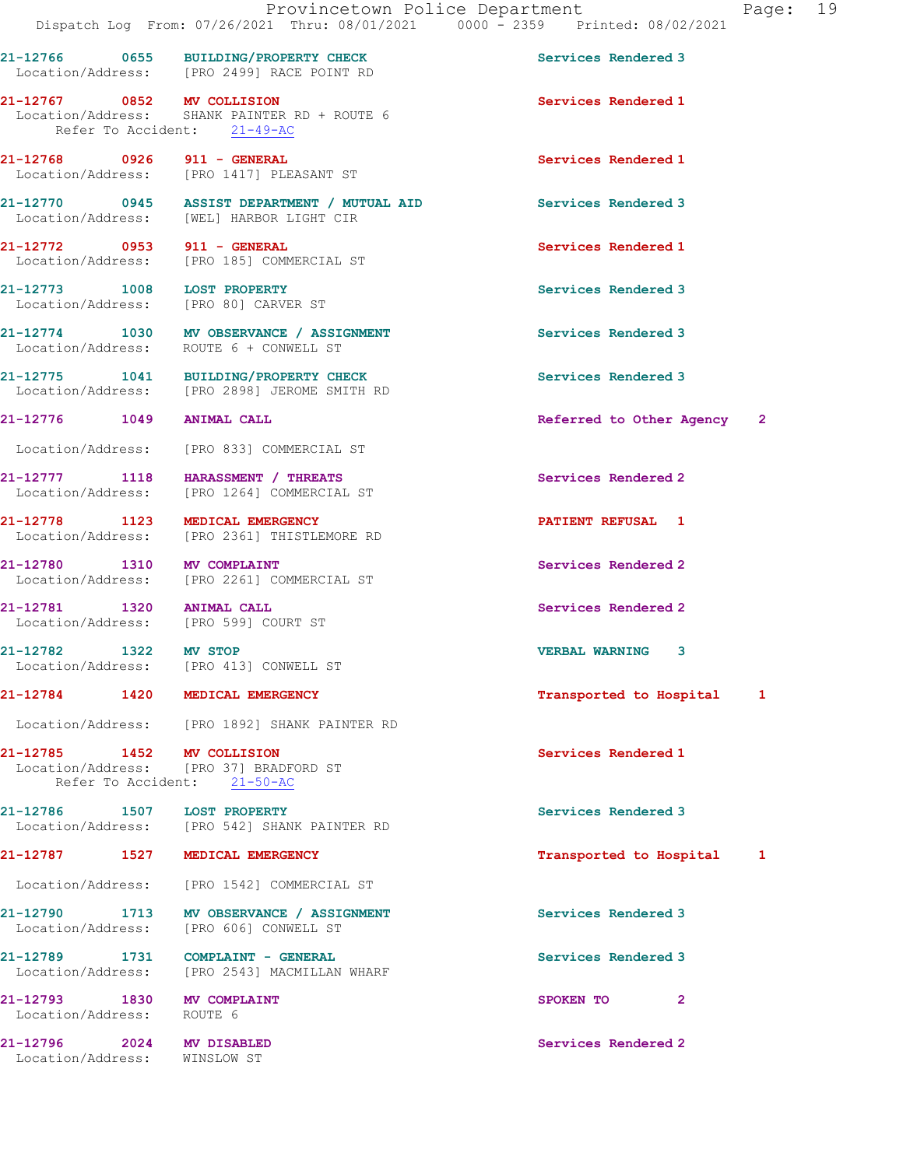21-12766 0655 BUILDING/PROPERTY CHECK Services Rendered 3

21-12767 0852 MV COLLISION Services Rendered 1

Location/Address: [PRO 2499] RACE POINT RD

Location/Address: SHANK PAINTER RD + ROUTE 6

Refer To Accident: 21-49-AC

21-12768 0926 911 - GENERAL Services Rendered 1 Location/Address: [PRO 1417] PLEASANT ST 21-12770 0945 ASSIST DEPARTMENT / MUTUAL AID Services Rendered 3 Location/Address: [WEL] HARBOR LIGHT CIR 21-12772 0953 911 - GENERAL Services Rendered 1 Location/Address: [PRO 185] COMMERCIAL ST 21-12773 1008 LOST PROPERTY **1008** 1008 LOST PROPERTY Location/Address: [PRO 80] CARVER ST 21-12774 1030 MV OBSERVANCE / ASSIGNMENT Services Rendered 3 Location/Address: ROUTE 6 + CONWELL ST 21-12775 1041 BUILDING/PROPERTY CHECK Services Rendered 3 Location/Address: [PRO 2898] JEROME SMITH RD 21-12776 1049 ANIMAL CALL Referred to Other Agency 2 Location/Address: [PRO 833] COMMERCIAL ST 21-12777 1118 HARASSMENT / THREATS Services Rendered 2 Location/Address: [PRO 1264] COMMERCIAL ST 21-12778 1123 MEDICAL EMERGENCY 1 21-12778 PATIENT REFUSAL 1 Location/Address: [PRO 2361] THISTLEMORE RD 21-12780 1310 MV COMPLAINT Services Rendered 2 Location/Address: [PRO 2261] COMMERCIAL ST 21-12781 1320 ANIMAL CALL 21-12781 Services Rendered 2 Location/Address: [PRO 599] COURT ST 21-12782 1322 MV STOP VERBAL WARNING 3 Location/Address: [PRO 413] CONWELL ST 21-12784 1420 MEDICAL EMERGENCY Transported to Hospital 1 Location/Address: [PRO 1892] SHANK PAINTER RD 21-12785 1452 MV COLLISION Services Rendered 1 Location/Address: [PRO 37] BRADFORD ST Refer To Accident: 21-50-AC 21-12786 1507 LOST PROPERTY Services Rendered 3 Location/Address: [PRO 542] SHANK PAINTER RD 21-12787 1527 MEDICAL EMERGENCY Transported to Hospital 1 Location/Address: [PRO 1542] COMMERCIAL ST 21-12790 1713 MV OBSERVANCE / ASSIGNMENT Services Rendered 3 Location/Address: [PRO 606] CONWELL ST 21-12789 1731 COMPLAINT - GENERAL Services Rendered 3 Location/Address: [PRO 2543] MACMILLAN WHARF 21-12793 1830 MV COMPLAINT SPOKEN TO 2 Location/Address: ROUTE 6 21-12796 2024 MV DISABLED Services Rendered 2 Location/Address: WINSLOW ST